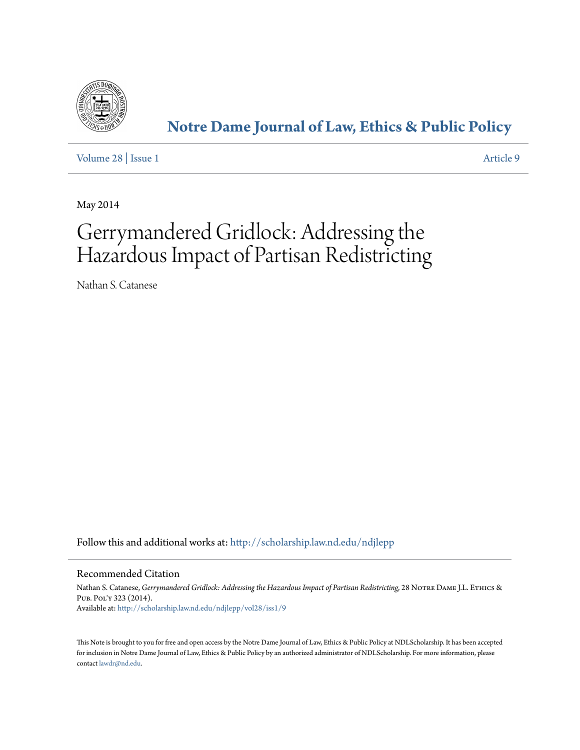

# **[Notre Dame Journal of Law, Ethics & Public Policy](http://scholarship.law.nd.edu/ndjlepp?utm_source=scholarship.law.nd.edu%2Fndjlepp%2Fvol28%2Fiss1%2F9&utm_medium=PDF&utm_campaign=PDFCoverPages)**

[Volume 28](http://scholarship.law.nd.edu/ndjlepp/vol28?utm_source=scholarship.law.nd.edu%2Fndjlepp%2Fvol28%2Fiss1%2F9&utm_medium=PDF&utm_campaign=PDFCoverPages) | [Issue 1](http://scholarship.law.nd.edu/ndjlepp/vol28/iss1?utm_source=scholarship.law.nd.edu%2Fndjlepp%2Fvol28%2Fiss1%2F9&utm_medium=PDF&utm_campaign=PDFCoverPages) [Article 9](http://scholarship.law.nd.edu/ndjlepp/vol28/iss1/9?utm_source=scholarship.law.nd.edu%2Fndjlepp%2Fvol28%2Fiss1%2F9&utm_medium=PDF&utm_campaign=PDFCoverPages)

May 2014

# Gerrymandered Gridlock: Addressing the Hazardous Impact of Partisan Redistricting

Nathan S. Catanese

Follow this and additional works at: [http://scholarship.law.nd.edu/ndjlepp](http://scholarship.law.nd.edu/ndjlepp?utm_source=scholarship.law.nd.edu%2Fndjlepp%2Fvol28%2Fiss1%2F9&utm_medium=PDF&utm_campaign=PDFCoverPages)

# Recommended Citation

Nathan S. Catanese, *Gerrymandered Gridlock: Addressing the Hazardous Impact of Partisan Redistricting*, 28 NOTRE DAME J.L. ETHICS & Pub. Pol'y 323 (2014). Available at: [http://scholarship.law.nd.edu/ndjlepp/vol28/iss1/9](http://scholarship.law.nd.edu/ndjlepp/vol28/iss1/9?utm_source=scholarship.law.nd.edu%2Fndjlepp%2Fvol28%2Fiss1%2F9&utm_medium=PDF&utm_campaign=PDFCoverPages)

This Note is brought to you for free and open access by the Notre Dame Journal of Law, Ethics & Public Policy at NDLScholarship. It has been accepted for inclusion in Notre Dame Journal of Law, Ethics & Public Policy by an authorized administrator of NDLScholarship. For more information, please contact [lawdr@nd.edu.](mailto:lawdr@nd.edu)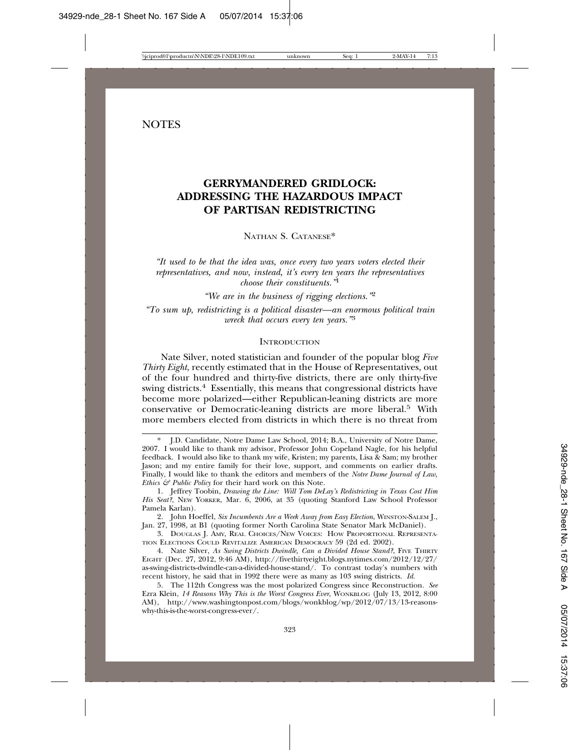# **NOTES**

# **GERRYMANDERED GRIDLOCK: ADDRESSING THE HAZARDOUS IMPACT OF PARTISAN REDISTRICTING**

NATHAN S. CATANESE\*

*"It used to be that the idea was, once every two years voters elected their representatives, and now, instead, it's every ten years the representatives choose their constituents."*<sup>1</sup>

*"We are in the business of rigging elections."*<sup>2</sup> *"To sum up, redistricting is a political disaster—an enormous political train wreck that occurs every ten years."*<sup>3</sup>

# **INTRODUCTION**

Nate Silver, noted statistician and founder of the popular blog *Five Thirty Eight*, recently estimated that in the House of Representatives, out of the four hundred and thirty-five districts, there are only thirty-five swing districts.<sup>4</sup> Essentially, this means that congressional districts have become more polarized—either Republican-leaning districts are more conservative or Democratic-leaning districts are more liberal.5 With more members elected from districts in which there is no threat from

2. John Hoeffel, *Six Incumbents Are a Week Away from Easy Election*, WINSTON-SALEM J., Jan. 27, 1998, at B1 (quoting former North Carolina State Senator Mark McDaniel).

3. DOUGLAS J. AMY, REAL CHOICES/NEW VOICES: HOW PROPORTIONAL REPRESENTA-TION ELECTIONS COULD REVITALIZE AMERICAN DEMOCRACY 59 (2d ed. 2002).

4. Nate Silver, *As Swing Districts Dwindle, Can a Divided House Stand?*, FIVE THIRTY EIGHT (Dec. 27, 2012, 9:46 AM), http://fivethirtyeight.blogs.nytimes.com/2012/12/27/ as-swing-districts-dwindle-can-a-divided-house-stand/. To contrast today's numbers with recent history, he said that in 1992 there were as many as 103 swing districts. *Id.*

5. The 112th Congress was the most polarized Congress since Reconstruction. *See* Ezra Klein, *14 Reasons Why This is the Worst Congress Ever*, WONKBLOG (July 13, 2012, 8:00 AM), http://www.washingtonpost.com/blogs/wonkblog/wp/2012/07/13/13-reasonswhy-this-is-the-worst-congress-ever/.

<sup>\*</sup> J.D. Candidate, Notre Dame Law School, 2014; B.A., University of Notre Dame, 2007. I would like to thank my advisor, Professor John Copeland Nagle, for his helpful feedback. I would also like to thank my wife, Kristen; my parents, Lisa & Sam; my brother Jason; and my entire family for their love, support, and comments on earlier drafts. Finally, I would like to thank the editors and members of the *Notre Dame Journal of Law, Ethics & Public Policy* for their hard work on this Note.

<sup>1.</sup> Jeffrey Toobin, *Drawing the Line: Will Tom DeLay's Redistricting in Texas Cost Him His Seat?*, NEW YORKER, Mar. 6, 2006, at 35 (quoting Stanford Law School Professor Pamela Karlan).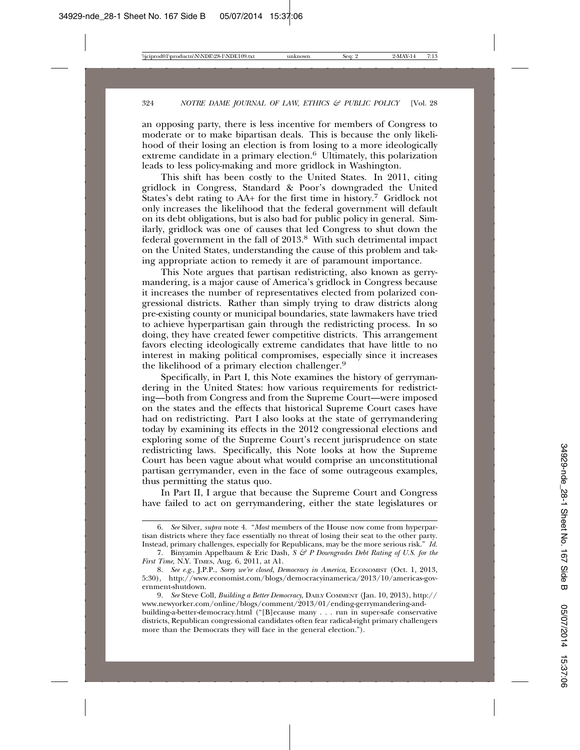an opposing party, there is less incentive for members of Congress to moderate or to make bipartisan deals. This is because the only likelihood of their losing an election is from losing to a more ideologically extreme candidate in a primary election.<sup>6</sup> Ultimately, this polarization leads to less policy-making and more gridlock in Washington.

This shift has been costly to the United States. In 2011, citing gridlock in Congress, Standard & Poor's downgraded the United States's debt rating to AA+ for the first time in history.<sup>7</sup> Gridlock not only increases the likelihood that the federal government will default on its debt obligations, but is also bad for public policy in general. Similarly, gridlock was one of causes that led Congress to shut down the federal government in the fall of 2013.8 With such detrimental impact on the United States, understanding the cause of this problem and taking appropriate action to remedy it are of paramount importance.

This Note argues that partisan redistricting, also known as gerrymandering, is a major cause of America's gridlock in Congress because it increases the number of representatives elected from polarized congressional districts. Rather than simply trying to draw districts along pre-existing county or municipal boundaries, state lawmakers have tried to achieve hyperpartisan gain through the redistricting process. In so doing, they have created fewer competitive districts. This arrangement favors electing ideologically extreme candidates that have little to no interest in making political compromises, especially since it increases the likelihood of a primary election challenger.9

Specifically, in Part I, this Note examines the history of gerrymandering in the United States: how various requirements for redistricting—both from Congress and from the Supreme Court—were imposed on the states and the effects that historical Supreme Court cases have had on redistricting. Part I also looks at the state of gerrymandering today by examining its effects in the 2012 congressional elections and exploring some of the Supreme Court's recent jurisprudence on state redistricting laws. Specifically, this Note looks at how the Supreme Court has been vague about what would comprise an unconstitutional partisan gerrymander, even in the face of some outrageous examples, thus permitting the status quo.

In Part II, I argue that because the Supreme Court and Congress have failed to act on gerrymandering, either the state legislatures or

<sup>6.</sup> *See* Silver, *supra* note 4. "*Most* members of the House now come from hyperpartisan districts where they face essentially no threat of losing their seat to the other party. Instead, primary challenges, especially for Republicans, may be the more serious risk." *Id.*

<sup>7.</sup> Binyamin Appelbaum & Eric Dash, *S & P Downgrades Debt Rating of U.S. for the First Time*, N.Y. TIMES, Aug. 6, 2011, at A1.

<sup>8.</sup> *See e.g.*, J.P.P., *Sorry we're closed*, *Democracy in America*, ECONOMIST (Oct. 1, 2013, 5:30), http://www.economist.com/blogs/democracyinamerica/2013/10/americas-government-shutdown.

<sup>9.</sup> *See* Steve Coll, *Building a Better Democracy*, DAILY COMMENT (Jan. 10, 2013), http:// www.newyorker.com/online/blogs/comment/2013/01/ending-gerrymandering-andbuilding-a-better-democracy.html ("[B]ecause many . . . run in super-safe conservative districts, Republican congressional candidates often fear radical-right primary challengers more than the Democrats they will face in the general election.").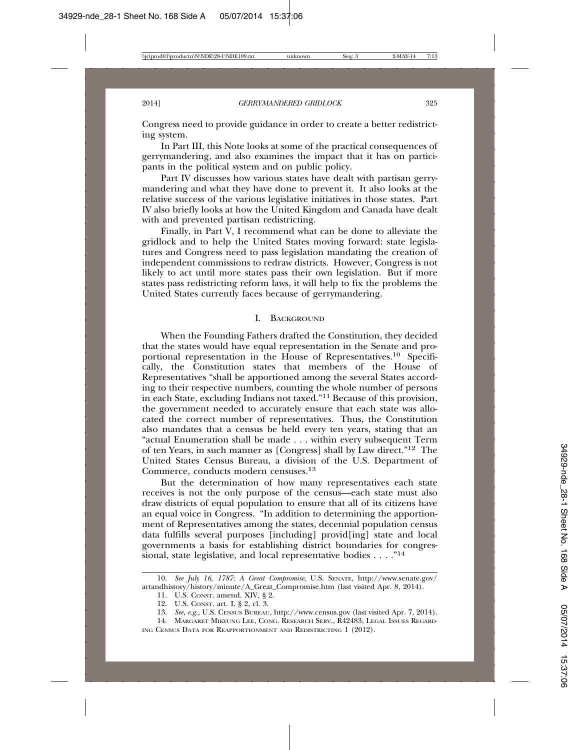Congress need to provide guidance in order to create a better redistricting system.

In Part III, this Note looks at some of the practical consequences of gerrymandering, and also examines the impact that it has on participants in the political system and on public policy.

Part IV discusses how various states have dealt with partisan gerrymandering and what they have done to prevent it. It also looks at the relative success of the various legislative initiatives in those states. Part IV also briefly looks at how the United Kingdom and Canada have dealt with and prevented partisan redistricting.

Finally, in Part V, I recommend what can be done to alleviate the gridlock and to help the United States moving forward: state legislatures and Congress need to pass legislation mandating the creation of independent commissions to redraw districts. However, Congress is not likely to act until more states pass their own legislation. But if more states pass redistricting reform laws, it will help to fix the problems the United States currently faces because of gerrymandering.

#### I. BACKGROUND

When the Founding Fathers drafted the Constitution, they decided that the states would have equal representation in the Senate and proportional representation in the House of Representatives.10 Specifically, the Constitution states that members of the House of Representatives "shall be apportioned among the several States according to their respective numbers, counting the whole number of persons in each State, excluding Indians not taxed."11 Because of this provision, the government needed to accurately ensure that each state was allocated the correct number of representatives. Thus, the Constitution also mandates that a census be held every ten years, stating that an "actual Enumeration shall be made . . . within every subsequent Term of ten Years, in such manner as [Congress] shall by Law direct."12 The United States Census Bureau, a division of the U.S. Department of Commerce, conducts modern censuses.13

But the determination of how many representatives each state receives is not the only purpose of the census—each state must also draw districts of equal population to ensure that all of its citizens have an equal voice in Congress. "In addition to determining the apportionment of Representatives among the states, decennial population census data fulfills several purposes [including] provid[ing] state and local governments a basis for establishing district boundaries for congressional, state legislative, and local representative bodies  $\dots$ ."<sup>14</sup>

<sup>10.</sup> *See July 16, 1787: A Great Compromise*, U.S. SENATE, http://www.senate.gov/ artandhistory/history/minute/A\_Great\_Compromise.htm (last visited Apr. 8, 2014).

<sup>11.</sup> U.S. CONST. amend. XIV, § 2.

<sup>12.</sup> U.S. CONST. art. I, § 2, cl. 3.

<sup>13.</sup> *See, e.g.,* U.S. CENSUS BUREAU, http://www.census.gov (last visited Apr. 7, 2014).

<sup>14.</sup> MARGARET MIKYUNG LEE, CONG. RESEARCH SERV., R42483, LEGAL ISSUES REGARD-ING CENSUS DATA FOR REAPPORTIONMENT AND REDISTRICTING 1 (2012).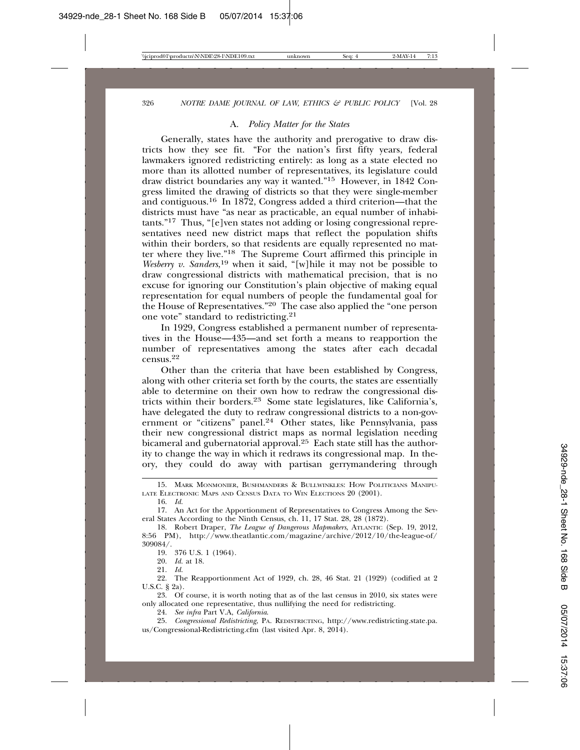# A. *Policy Matter for the States*

Generally, states have the authority and prerogative to draw districts how they see fit. "For the nation's first fifty years, federal lawmakers ignored redistricting entirely: as long as a state elected no more than its allotted number of representatives, its legislature could draw district boundaries any way it wanted."15 However, in 1842 Congress limited the drawing of districts so that they were single-member and contiguous.16 In 1872, Congress added a third criterion—that the districts must have "as near as practicable, an equal number of inhabitants."17 Thus, "[e]ven states not adding or losing congressional representatives need new district maps that reflect the population shifts within their borders, so that residents are equally represented no matter where they live."18 The Supreme Court affirmed this principle in *Wesberry v. Sanders*, 19 when it said, "[w]hile it may not be possible to draw congressional districts with mathematical precision, that is no excuse for ignoring our Constitution's plain objective of making equal representation for equal numbers of people the fundamental goal for the House of Representatives."20 The case also applied the "one person one vote" standard to redistricting.21

In 1929, Congress established a permanent number of representatives in the House—435—and set forth a means to reapportion the number of representatives among the states after each decadal census.<sup>22</sup>

Other than the criteria that have been established by Congress, along with other criteria set forth by the courts, the states are essentially able to determine on their own how to redraw the congressional districts within their borders.23 Some state legislatures, like California's, have delegated the duty to redraw congressional districts to a non-government or "citizens" panel.<sup>24</sup> Other states, like Pennsylvania, pass their new congressional district maps as normal legislation needing bicameral and gubernatorial approval.<sup>25</sup> Each state still has the authority to change the way in which it redraws its congressional map. In theory, they could do away with partisan gerrymandering through

19. 376 U.S. 1 (1964).

20. *Id.* at 18.

21. *Id.*

24. *See infra* Part V.A, *California*.

25. *Congressional Redistricting*, PA. REDISTRICTING, http://www.redistricting.state.pa. us/Congressional-Redistricting.cfm (last visited Apr. 8, 2014).

<sup>15.</sup> MARK MONMONIER, BUSHMANDERS & BULLWINKLES: HOW POLITICIANS MANIPU-LATE ELECTRONIC MAPS AND CENSUS DATA TO WIN ELECTIONS 20 (2001).

<sup>16.</sup> *Id.*

<sup>17.</sup> An Act for the Apportionment of Representatives to Congress Among the Several States According to the Ninth Census, ch. 11, 17 Stat. 28, 28 (1872).

<sup>18.</sup> Robert Draper, *The League of Dangerous Mapmakers*, ATLANTIC (Sep. 19, 2012, 8:56 PM), http://www.theatlantic.com/magazine/archive/2012/10/the-league-of/ 309084/.

<sup>22.</sup> The Reapportionment Act of 1929, ch. 28, 46 Stat. 21 (1929) (codified at 2 U.S.C. § 2a).

<sup>23.</sup> Of course, it is worth noting that as of the last census in 2010, six states were only allocated one representative, thus nullifying the need for redistricting.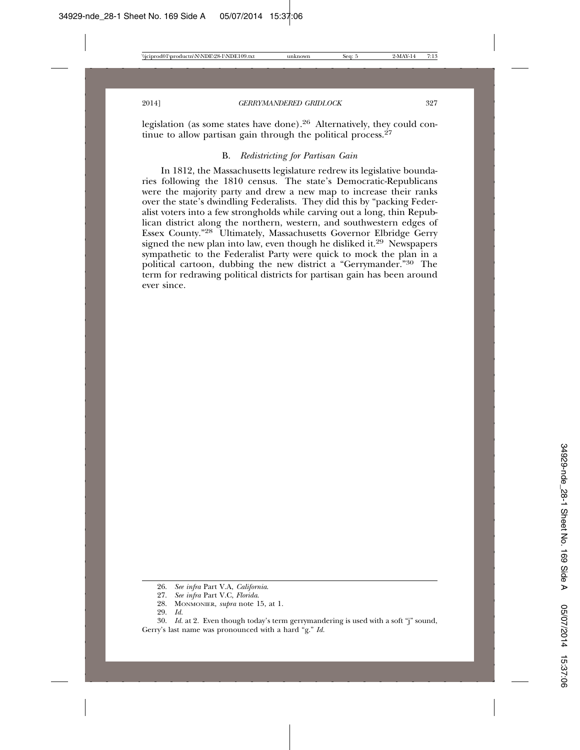legislation (as some states have done).26 Alternatively, they could continue to allow partisan gain through the political process.  $27$ 

# B. *Redistricting for Partisan Gain*

In 1812, the Massachusetts legislature redrew its legislative boundaries following the 1810 census. The state's Democratic-Republicans were the majority party and drew a new map to increase their ranks over the state's dwindling Federalists. They did this by "packing Federalist voters into a few strongholds while carving out a long, thin Republican district along the northern, western, and southwestern edges of Essex County."28 Ultimately, Massachusetts Governor Elbridge Gerry signed the new plan into law, even though he disliked it.<sup>29</sup> Newspapers sympathetic to the Federalist Party were quick to mock the plan in a political cartoon, dubbing the new district a "Gerrymander."30 The term for redrawing political districts for partisan gain has been around ever since.

29. *Id.*

<sup>26.</sup> *See infra* Part V.A, *California*.

<sup>27.</sup> *See infra* Part V.C, *Florida*.

<sup>28.</sup> MONMONIER, *supra* note 15, at 1.

<sup>30.</sup> *Id.* at 2. Even though today's term gerrymandering is used with a soft "j" sound, Gerry's last name was pronounced with a hard "g." *Id.*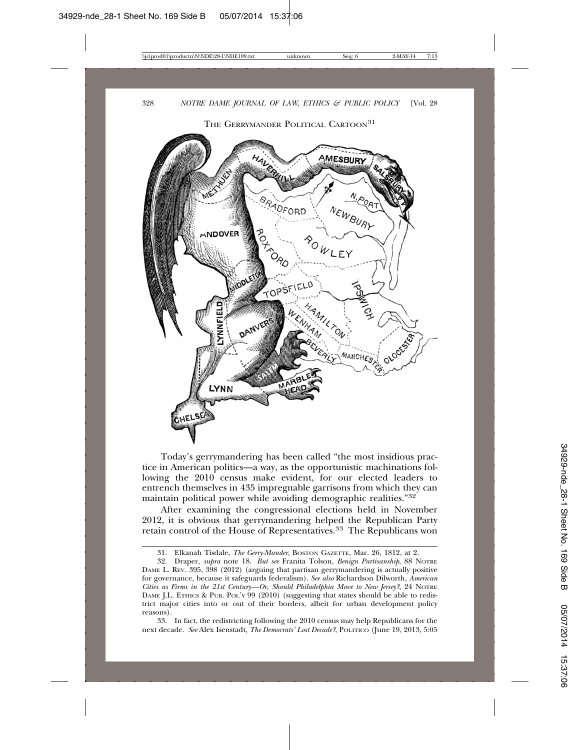THE GERRYMANDER POLITICAL CARTOON<sup>31</sup>



Today's gerrymandering has been called "the most insidious practice in American politics—a way, as the opportunistic machinations following the 2010 census make evident, for our elected leaders to entrench themselves in 435 impregnable garrisons from which they can maintain political power while avoiding demographic realities."32

After examining the congressional elections held in November 2012, it is obvious that gerrymandering helped the Republican Party retain control of the House of Representatives.33 The Republicans won

<sup>31.</sup> Elkanah Tisdale, *The Gerry-Mander*, BOSTON GAZETTE, Mar. 26, 1812, at 2.

<sup>32.</sup> Draper, *supra* note 18. *But see* Franita Tolson, *Benign Partisanship*, 88 NOTRE DAME L. REV. 395, 398 (2012) (arguing that partisan gerrymandering is actually positive for governance, because it safeguards federalism). *See also* Richardson Dilworth, *American Cities as Firms in the 21st Century—Or, Should Philadelphia Move to New Jersey?*, 24 NOTRE DAME J.L. ETHICS & PUB. POL'Y 99 (2010) (suggesting that states should be able to redistrict major cities into or out of their borders, albeit for urban development policy reasons).

<sup>33.</sup> In fact, the redistricting following the 2010 census may help Republicans for the next decade. *See* Alex Isenstadt, *The Democrats' Lost Decade?*, POLITICO (June 19, 2013, 5:05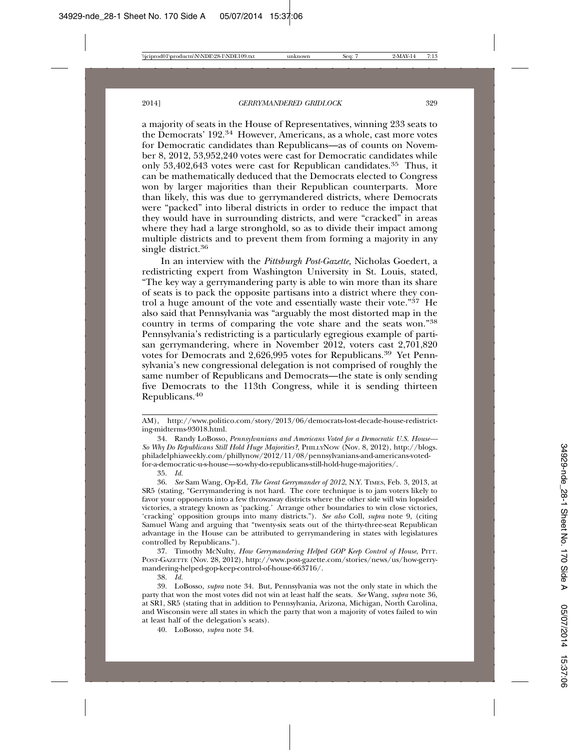a majority of seats in the House of Representatives, winning 233 seats to the Democrats' 192.34 However, Americans, as a whole, cast more votes for Democratic candidates than Republicans—as of counts on November 8, 2012, 53,952,240 votes were cast for Democratic candidates while only 53,402,643 votes were cast for Republican candidates.35 Thus, it can be mathematically deduced that the Democrats elected to Congress won by larger majorities than their Republican counterparts. More than likely, this was due to gerrymandered districts, where Democrats were "packed" into liberal districts in order to reduce the impact that they would have in surrounding districts, and were "cracked" in areas where they had a large stronghold, so as to divide their impact among multiple districts and to prevent them from forming a majority in any single district.<sup>36</sup>

In an interview with the *Pittsburgh Post-Gazette,* Nicholas Goedert, a redistricting expert from Washington University in St. Louis, stated, "The key way a gerrymandering party is able to win more than its share of seats is to pack the opposite partisans into a district where they control a huge amount of the vote and essentially waste their vote."37 He also said that Pennsylvania was "arguably the most distorted map in the country in terms of comparing the vote share and the seats won."38 Pennsylvania's redistricting is a particularly egregious example of partisan gerrymandering, where in November 2012, voters cast 2,701,820 votes for Democrats and 2,626,995 votes for Republicans.39 Yet Pennsylvania's new congressional delegation is not comprised of roughly the same number of Republicans and Democrats—the state is only sending five Democrats to the 113th Congress, while it is sending thirteen Republicans.<sup>40</sup>

35. *Id.*

37. Timothy McNulty, *How Gerrymandering Helped GOP Keep Control of House*, PITT. POST-GAZETTE (Nov. 28, 2012), http://www.post-gazette.com/stories/news/us/how-gerrymandering-helped-gop-keep-control-of-house-663716/.

38. *Id.*

39. LoBosso, *supra* note 34. But, Pennsylvania was not the only state in which the party that won the most votes did not win at least half the seats. *See* Wang, *supra* note 36, at SR1, SR5 (stating that in addition to Pennsylvania, Arizona, Michigan, North Carolina, and Wisconsin were all states in which the party that won a majority of votes failed to win at least half of the delegation's seats).

40. LoBosso, *supra* note 34.

AM), http://www.politico.com/story/2013/06/democrats-lost-decade-house-redistricting-midterms-93018.html.

<sup>34.</sup> Randy LoBosso, *Pennsylvanians and Americans Voted for a Democratic U.S. House— So Why Do Republicans Still Hold Huge Majorities?*, PHILLYNOW (Nov. 8, 2012), http://blogs. philadelphiaweekly.com/phillynow/2012/11/08/pennsylvanians-and-americans-votedfor-a-democratic-u-s-house—so-why-do-republicans-still-hold-huge-majorities/.

<sup>36.</sup> *See* Sam Wang, Op-Ed, *The Great Gerrymander of 2012*, N.Y. TIMES, Feb. 3, 2013, at SR5 (stating, "Gerrymandering is not hard. The core technique is to jam voters likely to favor your opponents into a few throwaway districts where the other side will win lopsided victories, a strategy known as 'packing.' Arrange other boundaries to win close victories, 'cracking' opposition groups into many districts."). *See also* Coll, *supra* note 9, (citing Samuel Wang and arguing that "twenty-six seats out of the thirty-three-seat Republican advantage in the House can be attributed to gerrymandering in states with legislatures controlled by Republicans.").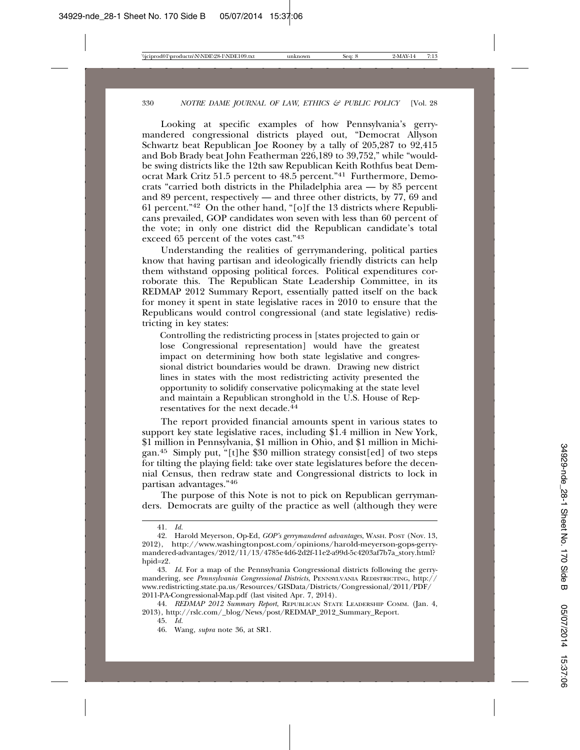Looking at specific examples of how Pennsylvania's gerrymandered congressional districts played out, "Democrat Allyson Schwartz beat Republican Joe Rooney by a tally of 205,287 to 92,415 and Bob Brady beat John Featherman 226,189 to 39,752," while "wouldbe swing districts like the 12th saw Republican Keith Rothfus beat Democrat Mark Critz 51.5 percent to 48.5 percent."41 Furthermore, Democrats "carried both districts in the Philadelphia area — by 85 percent and 89 percent, respectively — and three other districts, by  $77,69$  and 61 percent."42 On the other hand, "[o]f the 13 districts where Republicans prevailed, GOP candidates won seven with less than 60 percent of the vote; in only one district did the Republican candidate's total exceed 65 percent of the votes cast."43

Understanding the realities of gerrymandering, political parties know that having partisan and ideologically friendly districts can help them withstand opposing political forces. Political expenditures corroborate this. The Republican State Leadership Committee, in its REDMAP 2012 Summary Report, essentially patted itself on the back for money it spent in state legislative races in 2010 to ensure that the Republicans would control congressional (and state legislative) redistricting in key states:

Controlling the redistricting process in [states projected to gain or lose Congressional representation] would have the greatest impact on determining how both state legislative and congressional district boundaries would be drawn. Drawing new district lines in states with the most redistricting activity presented the opportunity to solidify conservative policymaking at the state level and maintain a Republican stronghold in the U.S. House of Representatives for the next decade.<sup>44</sup>

The report provided financial amounts spent in various states to support key state legislative races, including \$1.4 million in New York, \$1 million in Pennsylvania, \$1 million in Ohio, and \$1 million in Michigan.45 Simply put, "[t]he \$30 million strategy consist[ed] of two steps for tilting the playing field: take over state legislatures before the decennial Census, then redraw state and Congressional districts to lock in partisan advantages."46

The purpose of this Note is not to pick on Republican gerrymanders. Democrats are guilty of the practice as well (although they were

<sup>41.</sup> *Id.*

<sup>42.</sup> Harold Meyerson, Op-Ed, *GOP's gerrymandered advantages*, WASH. POST (Nov. 13, 2012), http://www.washingtonpost.com/opinions/harold-meyerson-gops-gerrymandered-advantages/2012/11/13/4785e4d6-2d2f-11e2-a99d-5c4203af7b7a\_story.html? hpid=z2.

<sup>43.</sup> *Id.* For a map of the Pennsylvania Congressional districts following the gerrymandering, see *Pennsylvania Congressional Districts*, PENNSYLVANIA REDISTRICTING, http:// www.redistricting.state.pa.us/Resources/GISData/Districts/Congressional/2011/PDF/ 2011-PA-Congressional-Map.pdf (last visited Apr. 7, 2014).

<sup>44.</sup> *REDMAP 2012 Summary Report*, REPUBLICAN STATE LEADERSHIP COMM. (Jan. 4, 2013), http://rslc.com/\_blog/News/post/REDMAP\_2012\_Summary\_Report.

<sup>45.</sup> *Id.*

<sup>46.</sup> Wang, *supra* note 36, at SR1.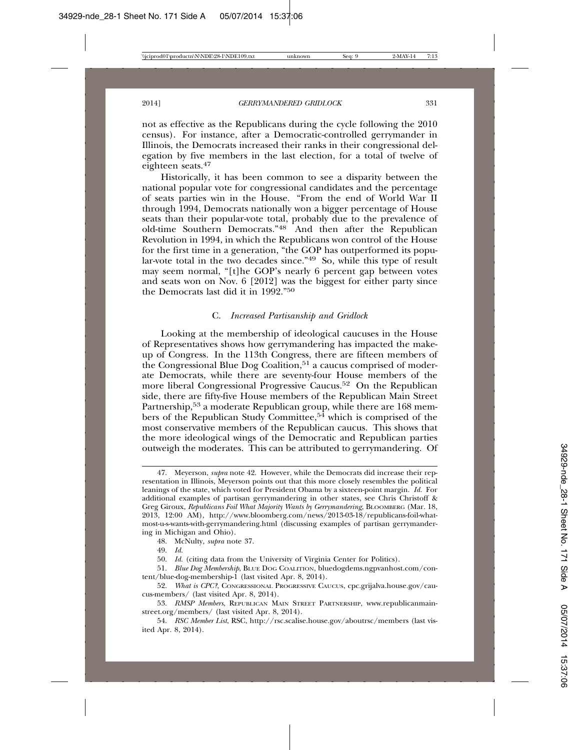not as effective as the Republicans during the cycle following the 2010 census). For instance, after a Democratic-controlled gerrymander in Illinois, the Democrats increased their ranks in their congressional delegation by five members in the last election, for a total of twelve of eighteen seats.47

Historically, it has been common to see a disparity between the national popular vote for congressional candidates and the percentage of seats parties win in the House. "From the end of World War II through 1994, Democrats nationally won a bigger percentage of House seats than their popular-vote total, probably due to the prevalence of old-time Southern Democrats."<sup>48</sup> And then after the Republican Revolution in 1994, in which the Republicans won control of the House for the first time in a generation, "the GOP has outperformed its popular-vote total in the two decades since."49 So, while this type of result may seem normal, "[t]he GOP's nearly 6 percent gap between votes and seats won on Nov. 6 [2012] was the biggest for either party since the Democrats last did it in 1992."50

#### C. *Increased Partisanship and Gridlock*

Looking at the membership of ideological caucuses in the House of Representatives shows how gerrymandering has impacted the makeup of Congress. In the 113th Congress, there are fifteen members of the Congressional Blue Dog Coalition,<sup>51</sup> a caucus comprised of moderate Democrats, while there are seventy-four House members of the more liberal Congressional Progressive Caucus.52 On the Republican side, there are fifty-five House members of the Republican Main Street Partnership,<sup>53</sup> a moderate Republican group, while there are 168 members of the Republican Study Committee,54 which is comprised of the most conservative members of the Republican caucus. This shows that the more ideological wings of the Democratic and Republican parties outweigh the moderates. This can be attributed to gerrymandering. Of

48. McNulty, *supra* note 37.

49. *Id.*

50. *Id.* (citing data from the University of Virginia Center for Politics).

<sup>47.</sup> Meyerson, *supra* note 42. However, while the Democrats did increase their representation in Illinois, Meyerson points out that this more closely resembles the political leanings of the state, which voted for President Obama by a sixteen-point margin. *Id.* For additional examples of partisan gerrymandering in other states, see Chris Christoff & Greg Giroux, *Republicans Foil What Majority Wants by Gerrymandering*, BLOOMBERG (Mar. 18, 2013, 12:00 AM), http://www.bloomberg.com/news/2013-03-18/republicans-foil-whatmost-u-s-wants-with-gerrymandering.html (discussing examples of partisan gerrymandering in Michigan and Ohio).

<sup>51.</sup> *Blue Dog Membership*, BLUE DOG COALITION, bluedogdems.ngpvanhost.com/content/blue-dog-membership-1 (last visited Apr. 8, 2014).

<sup>52.</sup> *What is CPC?*, CONGRESSIONAL PROGRESSIVE CAUCUS, cpc.grijalva.house.gov/caucus-members/ (last visited Apr. 8, 2014).

<sup>53.</sup> *RMSP Members*, REPUBLICAN MAIN STREET PARTNERSHIP, www.republicanmainstreet.org/members/ (last visited Apr. 8, 2014).

<sup>54.</sup> *RSC Member List*, RSC, http://rsc.scalise.house.gov/aboutrsc/members (last visited Apr. 8, 2014).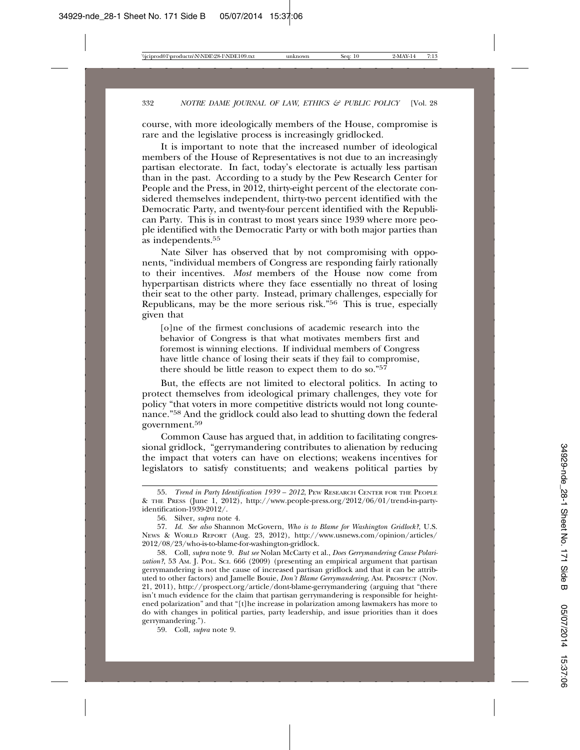course, with more ideologically members of the House, compromise is rare and the legislative process is increasingly gridlocked.

It is important to note that the increased number of ideological members of the House of Representatives is not due to an increasingly partisan electorate. In fact, today's electorate is actually less partisan than in the past. According to a study by the Pew Research Center for People and the Press, in 2012, thirty-eight percent of the electorate considered themselves independent, thirty-two percent identified with the Democratic Party, and twenty-four percent identified with the Republican Party. This is in contrast to most years since 1939 where more people identified with the Democratic Party or with both major parties than as independents.55

Nate Silver has observed that by not compromising with opponents, "individual members of Congress are responding fairly rationally to their incentives. *Most* members of the House now come from hyperpartisan districts where they face essentially no threat of losing their seat to the other party. Instead, primary challenges, especially for Republicans, may be the more serious risk."56 This is true, especially given that

[o]ne of the firmest conclusions of academic research into the behavior of Congress is that what motivates members first and foremost is winning elections. If individual members of Congress have little chance of losing their seats if they fail to compromise, there should be little reason to expect them to do so." $5^7$ 

But, the effects are not limited to electoral politics. In acting to protect themselves from ideological primary challenges, they vote for policy "that voters in more competitive districts would not long countenance."58 And the gridlock could also lead to shutting down the federal government.<sup>59</sup>

Common Cause has argued that, in addition to facilitating congressional gridlock, "gerrymandering contributes to alienation by reducing the impact that voters can have on elections; weakens incentives for legislators to satisfy constituents; and weakens political parties by

59. Coll, *supra* note 9.

<sup>55.</sup> *Trend in Party Identification 1939 – 2012*, PEW RESEARCH CENTER FOR THE PEOPLE & THE PRESS (June 1, 2012), http://www.people-press.org/2012/06/01/trend-in-partyidentification-1939-2012/.

<sup>56.</sup> Silver, *supra* note 4.

<sup>57.</sup> *Id. See also* Shannon McGovern, *Who is to Blame for Washington Gridlock?*, U.S. NEWS & WORLD REPORT (Aug. 23, 2012), http://www.usnews.com/opinion/articles/ 2012/08/23/who-is-to-blame-for-washington-gridlock.

<sup>58.</sup> Coll, *supra* note 9. *But see* Nolan McCarty et al., *Does Gerrymandering Cause Polarization?*, 53 AM. J. POL. SCI. 666 (2009) (presenting an empirical argument that partisan gerrymandering is not the cause of increased partisan gridlock and that it can be attributed to other factors) and Jamelle Bouie, *Don't Blame Gerrymandering*, AM. PROSPECT (Nov. 21, 2011), http://prospect.org/article/dont-blame-gerrymandering (arguing that "there isn't much evidence for the claim that partisan gerrymandering is responsible for heightened polarization" and that "[t]he increase in polarization among lawmakers has more to do with changes in political parties, party leadership, and issue priorities than it does gerrymandering.").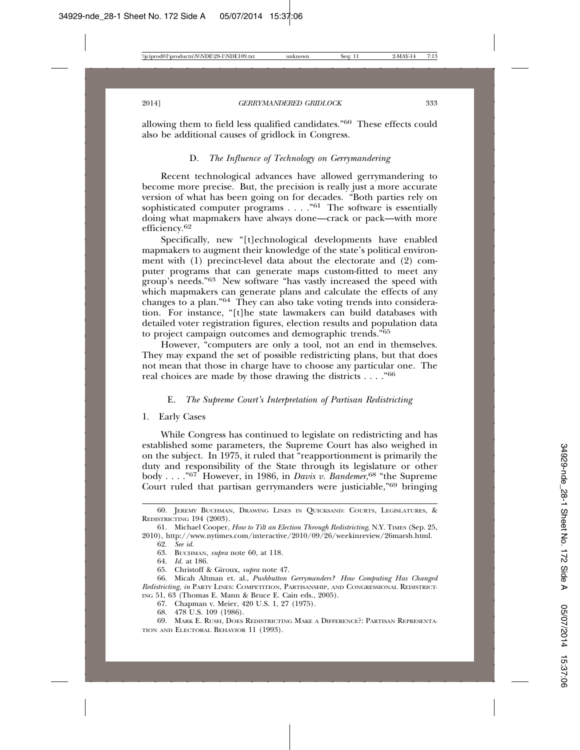allowing them to field less qualified candidates."60 These effects could also be additional causes of gridlock in Congress.

# D. *The Influence of Technology on Gerrymandering*

Recent technological advances have allowed gerrymandering to become more precise. But, the precision is really just a more accurate version of what has been going on for decades. "Both parties rely on sophisticated computer programs . . . . "61 The software is essentially doing what mapmakers have always done—crack or pack—with more efficiency.<sup>62</sup>

Specifically, new "[t]echnological developments have enabled mapmakers to augment their knowledge of the state's political environment with (1) precinct-level data about the electorate and (2) computer programs that can generate maps custom-fitted to meet any group's needs."63 New software "has vastly increased the speed with which mapmakers can generate plans and calculate the effects of any changes to a plan."64 They can also take voting trends into consideration. For instance, "[t]he state lawmakers can build databases with detailed voter registration figures, election results and population data to project campaign outcomes and demographic trends."65

However, "computers are only a tool, not an end in themselves. They may expand the set of possible redistricting plans, but that does not mean that those in charge have to choose any particular one. The real choices are made by those drawing the districts . . . ."66

#### E. *The Supreme Court's Interpretation of Partisan Redistricting*

1. Early Cases

While Congress has continued to legislate on redistricting and has established some parameters, the Supreme Court has also weighed in on the subject. In 1975, it ruled that "reapportionment is primarily the duty and responsibility of the State through its legislature or other body . . . ."67 However, in 1986, in *Davis v. Bandemer*, 68 "the Supreme Court ruled that partisan gerrymanders were justiciable,"69 bringing

65. Christoff & Giroux, *supra* note 47.

- 67. Chapman v. Meier, 420 U.S. 1, 27 (1975).
- 68. 478 U.S. 109 (1986).

<sup>60.</sup> JEREMY BUCHMAN, DRAWING LINES IN QUICKSAND: COURTS, LEGISLATURES, & REDISTRICTING 194 (2003).

<sup>61.</sup> Michael Cooper, *How to Tilt an Election Through Redistricting*, N.Y. TIMES (Sep. 25, 2010), http://www.nytimes.com/interactive/2010/09/26/weekinreview/26marsh.html.

<sup>62.</sup> *See id.*

<sup>63.</sup> BUCHMAN, *supra* note 60, at 118.

<sup>64.</sup> *Id.* at 186.

<sup>66.</sup> Micah Altman et. al., *Pushbutton Gerrymanders? How Computing Has Changed Redistricting*, *in* PARTY LINES: COMPETITION, PARTISANSHIP, AND CONGRESSIONAL REDISTRICT-ING 51, 63 (Thomas E. Mann & Bruce E. Cain eds., 2005).

<sup>69.</sup> MARK E. RUSH, DOES REDISTRICTING MAKE A DIFFERENCE?: PARTISAN REPRESENTA-TION AND ELECTORAL BEHAVIOR 11 (1993).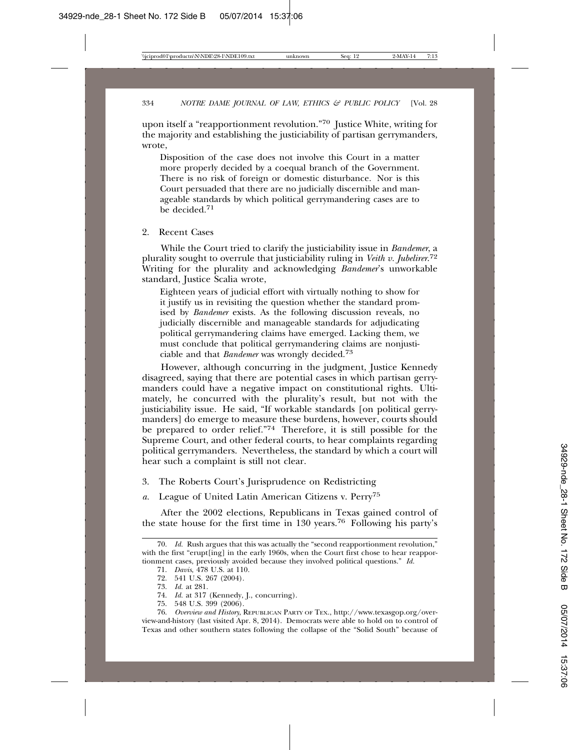upon itself a "reapportionment revolution."70 Justice White, writing for the majority and establishing the justiciability of partisan gerrymanders, wrote,

Disposition of the case does not involve this Court in a matter more properly decided by a coequal branch of the Government. There is no risk of foreign or domestic disturbance. Nor is this Court persuaded that there are no judicially discernible and manageable standards by which political gerrymandering cases are to be decided.71

2. Recent Cases

While the Court tried to clarify the justiciability issue in *Bandemer*, a plurality sought to overrule that justiciability ruling in *Veith v. Jubelirer*. 72 Writing for the plurality and acknowledging *Bandemer*'s unworkable standard, Justice Scalia wrote,

Eighteen years of judicial effort with virtually nothing to show for it justify us in revisiting the question whether the standard promised by *Bandemer* exists. As the following discussion reveals, no judicially discernible and manageable standards for adjudicating political gerrymandering claims have emerged. Lacking them, we must conclude that political gerrymandering claims are nonjusticiable and that *Bandemer* was wrongly decided.73

However, although concurring in the judgment, Justice Kennedy disagreed, saying that there are potential cases in which partisan gerrymanders could have a negative impact on constitutional rights. Ultimately, he concurred with the plurality's result, but not with the justiciability issue. He said, "If workable standards [on political gerrymanders] do emerge to measure these burdens, however, courts should be prepared to order relief."74 Therefore, it is still possible for the Supreme Court, and other federal courts, to hear complaints regarding political gerrymanders. Nevertheless, the standard by which a court will hear such a complaint is still not clear.

- 3. The Roberts Court's Jurisprudence on Redistricting
- *a.* League of United Latin American Citizens v. Perry75

After the 2002 elections, Republicans in Texas gained control of the state house for the first time in 130 years.76 Following his party's

<sup>70.</sup> *Id.* Rush argues that this was actually the "second reapportionment revolution," with the first "erupt[ing] in the early 1960s, when the Court first chose to hear reapportionment cases, previously avoided because they involved political questions." *Id.*

<sup>71.</sup> *Davis*, 478 U.S. at 110.

<sup>72. 541</sup> U.S. 267 (2004).

<sup>73.</sup> *Id.* at 281.

<sup>74.</sup> *Id.* at 317 (Kennedy, J., concurring).

<sup>75. 548</sup> U.S. 399 (2006).

<sup>76.</sup> *Overview and History*, REPUBLICAN PARTY OF TEX., http://www.texasgop.org/overview-and-history (last visited Apr. 8, 2014). Democrats were able to hold on to control of Texas and other southern states following the collapse of the "Solid South" because of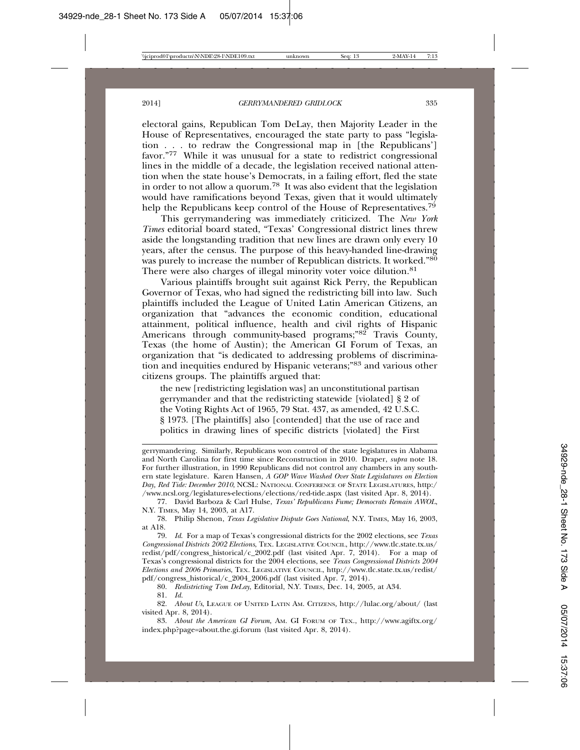#### 2014] *GERRYMANDERED GRIDLOCK* 335

electoral gains, Republican Tom DeLay, then Majority Leader in the House of Representatives, encouraged the state party to pass "legislation . . . to redraw the Congressional map in [the Republicans'] favor."77 While it was unusual for a state to redistrict congressional lines in the middle of a decade, the legislation received national attention when the state house's Democrats, in a failing effort, fled the state in order to not allow a quorum.78 It was also evident that the legislation would have ramifications beyond Texas, given that it would ultimately help the Republicans keep control of the House of Representatives.<sup>79</sup>

This gerrymandering was immediately criticized. The *New York Times* editorial board stated, "Texas' Congressional district lines threw aside the longstanding tradition that new lines are drawn only every 10 years, after the census. The purpose of this heavy-handed line-drawing was purely to increase the number of Republican districts. It worked."80 There were also charges of illegal minority voter voice dilution.<sup>81</sup>

Various plaintiffs brought suit against Rick Perry, the Republican Governor of Texas, who had signed the redistricting bill into law. Such plaintiffs included the League of United Latin American Citizens, an organization that "advances the economic condition, educational attainment, political influence, health and civil rights of Hispanic Americans through community-based programs;"82 Travis County, Texas (the home of Austin); the American GI Forum of Texas, an organization that "is dedicated to addressing problems of discrimination and inequities endured by Hispanic veterans;"83 and various other citizens groups. The plaintiffs argued that:

the new [redistricting legislation was] an unconstitutional partisan gerrymander and that the redistricting statewide [violated] § 2 of the Voting Rights Act of 1965, 79 Stat. 437, as amended, 42 U.S.C. § 1973. [The plaintiffs] also [contended] that the use of race and politics in drawing lines of specific districts [violated] the First

gerrymandering. Similarly, Republicans won control of the state legislatures in Alabama and North Carolina for first time since Reconstruction in 2010. Draper, *supra* note 18. For further illustration, in 1990 Republicans did not control any chambers in any southern state legislature. Karen Hansen, *A GOP Wave Washed Over State Legislatures on Election Day, Red Tide: December 2010*, NCSL: NATIONAL CONFERENCE OF STATE LEGISLATURES, http:/ /www.ncsl.org/legislatures-elections/elections/red-tide.aspx (last visited Apr. 8, 2014).

77. David Barboza & Carl Hulse, *Texas' Republicans Fume; Democrats Remain AWOL*, N.Y. TIMES, May 14, 2003, at A17.

78. Philip Shenon, *Texas Legislative Dispute Goes National*, N.Y. TIMES, May 16, 2003, at A18.

79. *Id*. For a map of Texas's congressional districts for the 2002 elections, see *Texas Congressional Districts 2002 Elections*, TEX. LEGISLATIVE COUNCIL, http://www.tlc.state.tx.us/ redist/pdf/congress\_historical/c\_2002.pdf (last visited Apr. 7, 2014). For a map of Texas's congressional districts for the 2004 elections, see *Texas Congressional Districts 2004 Elections and 2006 Primaries*, TEX. LEGISLATIVE COUNCIL, http://www.tlc.state.tx.us/redist/ pdf/congress\_historical/c\_2004\_2006.pdf (last visited Apr. 7, 2014).

80. *Redistricting Tom DeLay*, Editorial, N.Y. TIMES, Dec. 14, 2005, at A34.

81. *Id.*

82. *About Us*, LEAGUE OF UNITED LATIN AM. CITIZENS*,* http://lulac.org/about/ (last visited Apr. 8, 2014).

83. *About the American GI Forum*, AM. GI FORUM OF TEX., http://www.agiftx.org/ index.php?page=about.the.gi.forum (last visited Apr. 8, 2014).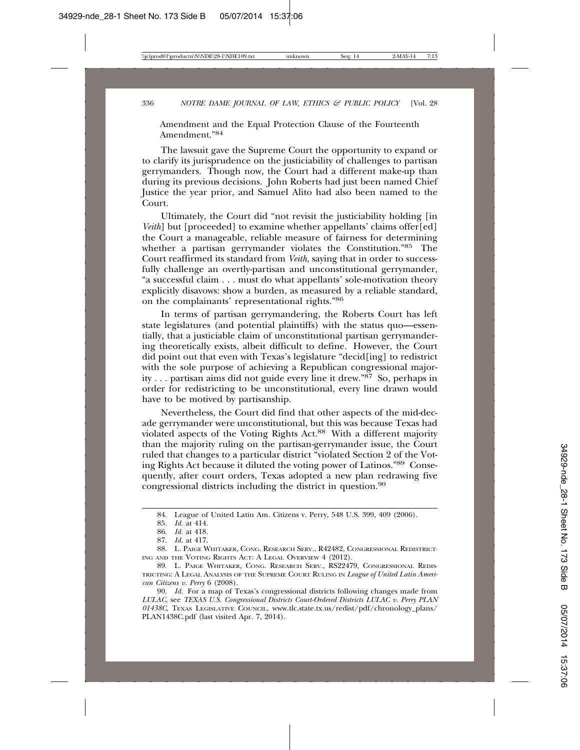Amendment and the Equal Protection Clause of the Fourteenth Amendment<sup>"84</sup>

The lawsuit gave the Supreme Court the opportunity to expand or to clarify its jurisprudence on the justiciability of challenges to partisan gerrymanders. Though now, the Court had a different make-up than during its previous decisions. John Roberts had just been named Chief Justice the year prior, and Samuel Alito had also been named to the Court.

Ultimately, the Court did "not revisit the justiciability holding [in *Veith*] but [proceeded] to examine whether appellants' claims offer[ed] the Court a manageable, reliable measure of fairness for determining whether a partisan gerrymander violates the Constitution."85 The Court reaffirmed its standard from *Veith*, saying that in order to successfully challenge an overtly-partisan and unconstitutional gerrymander, "a successful claim . . . must do what appellants' sole-motivation theory explicitly disavows: show a burden, as measured by a reliable standard, on the complainants' representational rights."86

In terms of partisan gerrymandering, the Roberts Court has left state legislatures (and potential plaintiffs) with the status quo—essentially, that a justiciable claim of unconstitutional partisan gerrymandering theoretically exists, albeit difficult to define. However, the Court did point out that even with Texas's legislature "decid[ing] to redistrict with the sole purpose of achieving a Republican congressional majority . . . partisan aims did not guide every line it drew."87 So, perhaps in order for redistricting to be unconstitutional, every line drawn would have to be motived by partisanship.

Nevertheless, the Court did find that other aspects of the mid-decade gerrymander were unconstitutional, but this was because Texas had violated aspects of the Voting Rights Act.88 With a different majority than the majority ruling on the partisan-gerrymander issue, the Court ruled that changes to a particular district "violated Section 2 of the Voting Rights Act because it diluted the voting power of Latinos."89 Consequently, after court orders, Texas adopted a new plan redrawing five congressional districts including the district in question.90

<sup>84.</sup> League of United Latin Am. Citizens v. Perry, 548 U.S. 399, 409 (2006).

<sup>85.</sup> *Id.* at 414.

<sup>86.</sup> *Id.* at 418.

<sup>87.</sup> *Id.* at 417.

<sup>88.</sup> L. PAIGE WHITAKER, CONG. RESEARCH SERV., R42482, CONGRESSIONAL REDISTRICT-ING AND THE VOTING RIGHTS ACT: A LEGAL OVERVIEW 4 (2012).

<sup>89.</sup> L. PAIGE WHITAKER, CONG. RESEARCH SERV., RS22479, CONGRESSIONAL REDIS-TRICTING: A LEGAL ANALYSIS OF THE SUPREME COURT RULING IN *League of United Latin American Citizens v. Perry* 6 (2008).

<sup>90.</sup> *Id.* For a map of Texas's congressional districts following changes made from *LULAC*, see *TEXAS U.S. Congressional Districts Court-Ordered Districts LULAC v. Perry PLAN 01438C*, TEXAS LEGISLATIVE COUNCIL, www.tlc.state.tx.us/redist/pdf/chronology\_plans/ PLAN1438C.pdf (last visited Apr. 7, 2014).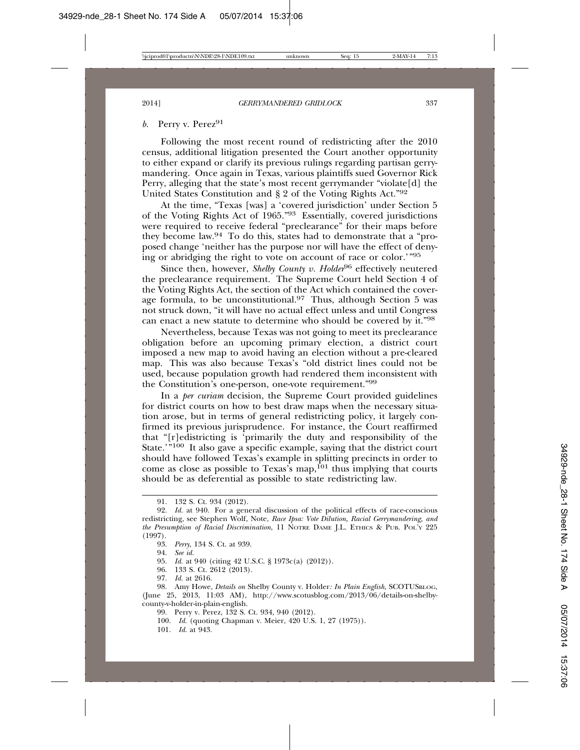# *b.* Perry v. Perez<sup>91</sup>

Following the most recent round of redistricting after the 2010 census, additional litigation presented the Court another opportunity to either expand or clarify its previous rulings regarding partisan gerrymandering. Once again in Texas, various plaintiffs sued Governor Rick Perry, alleging that the state's most recent gerrymander "violate[d] the United States Constitution and § 2 of the Voting Rights Act."92

At the time, "Texas [was] a 'covered jurisdiction' under Section 5 of the Voting Rights Act of 1965."93 Essentially, covered jurisdictions were required to receive federal "preclearance" for their maps before they become law.94 To do this, states had to demonstrate that a "proposed change 'neither has the purpose nor will have the effect of denying or abridging the right to vote on account of race or color.'"95

Since then, however, *Shelby County v. Holder*<sup>96</sup> effectively neutered the preclearance requirement. The Supreme Court held Section 4 of the Voting Rights Act, the section of the Act which contained the coverage formula, to be unconstitutional.97 Thus, although Section 5 was not struck down, "it will have no actual effect unless and until Congress can enact a new statute to determine who should be covered by it."98

Nevertheless, because Texas was not going to meet its preclearance obligation before an upcoming primary election, a district court imposed a new map to avoid having an election without a pre-cleared map. This was also because Texas's "old district lines could not be used, because population growth had rendered them inconsistent with the Constitution's one-person, one-vote requirement."99

In a *per curiam* decision, the Supreme Court provided guidelines for district courts on how to best draw maps when the necessary situation arose, but in terms of general redistricting policy, it largely confirmed its previous jurisprudence. For instance, the Court reaffirmed that "[r]edistricting is 'primarily the duty and responsibility of the State.'"100 It also gave a specific example, saying that the district court should have followed Texas's example in splitting precincts in order to come as close as possible to Texas's map,<sup>101</sup> thus implying that courts should be as deferential as possible to state redistricting law.

94. *See id.*

- 95. *Id.* at 940 (citing 42 U.S.C. § 1973c(a) (2012)).
- 96. 133 S. Ct. 2612 (2013).

- 100. *Id.* (quoting Chapman v. Meier, 420 U.S. 1, 27 (1975)).
- 101. *Id.* at 943.

<sup>91. 132</sup> S. Ct. 934 (2012).

<sup>92.</sup> *Id.* at 940. For a general discussion of the political effects of race-conscious redistricting, see Stephen Wolf, Note, *Race Ipsa: Vote Dilution, Racial Gerrymandering, and the Presumption of Racial Discrimination*, 11 NOTRE DAME J.L. ETHICS & PUB. POL'Y 225 (1997).

<sup>93.</sup> *Perry*, 134 S. Ct. at 939.

<sup>97.</sup> *Id.* at 2616.

<sup>98.</sup> Amy Howe, *Details on* Shelby County v. Holder*: In Plain English*, SCOTUSBLOG, (June 25, 2013, 11:03 AM), http://www.scotusblog.com/2013/06/details-on-shelbycounty-v-holder-in-plain-english.

<sup>99.</sup> Perry v. Perez, 132 S. Ct. 934, 940 (2012).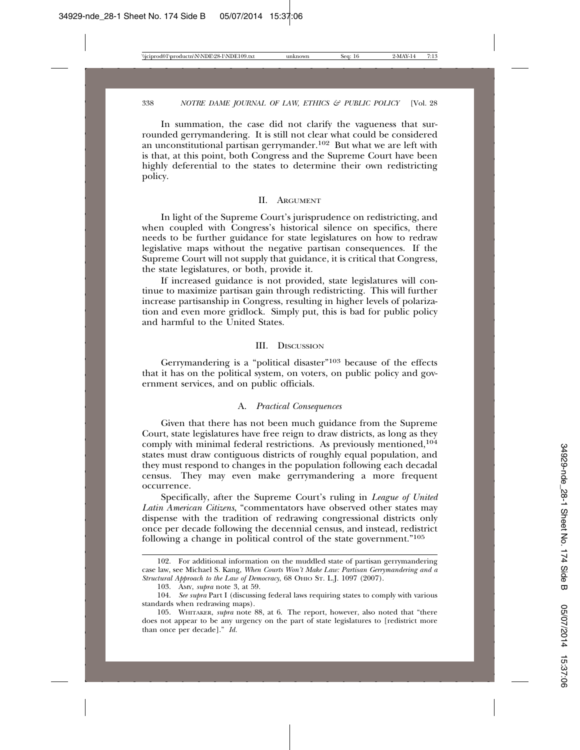In summation, the case did not clarify the vagueness that surrounded gerrymandering. It is still not clear what could be considered an unconstitutional partisan gerrymander.102 But what we are left with is that, at this point, both Congress and the Supreme Court have been highly deferential to the states to determine their own redistricting policy.

#### II. ARGUMENT

In light of the Supreme Court's jurisprudence on redistricting, and when coupled with Congress's historical silence on specifics, there needs to be further guidance for state legislatures on how to redraw legislative maps without the negative partisan consequences. If the Supreme Court will not supply that guidance, it is critical that Congress, the state legislatures, or both, provide it.

If increased guidance is not provided, state legislatures will continue to maximize partisan gain through redistricting. This will further increase partisanship in Congress, resulting in higher levels of polarization and even more gridlock. Simply put, this is bad for public policy and harmful to the United States.

#### III. DISCUSSION

Gerrymandering is a "political disaster"103 because of the effects that it has on the political system, on voters, on public policy and government services, and on public officials.

#### A. *Practical Consequences*

Given that there has not been much guidance from the Supreme Court, state legislatures have free reign to draw districts, as long as they comply with minimal federal restrictions. As previously mentioned,<sup>104</sup> states must draw contiguous districts of roughly equal population, and they must respond to changes in the population following each decadal census. They may even make gerrymandering a more frequent occurrence.

Specifically, after the Supreme Court's ruling in *League of United Latin American Citizens*, "commentators have observed other states may dispense with the tradition of redrawing congressional districts only once per decade following the decennial census, and instead, redistrict following a change in political control of the state government."105

<sup>102.</sup> For additional information on the muddled state of partisan gerrymandering case law, see Michael S. Kang, *When Courts Won't Make Law: Partisan Gerrymandering and a* Structural Approach to the Law of Democracy, 68 OHIO ST. L.J. 1097 (2007).

<sup>103.</sup> AMY, *supra* note 3, at 59.

<sup>104.</sup> *See supra* Part I (discussing federal laws requiring states to comply with various standards when redrawing maps).

<sup>105.</sup> WHITAKER, *supra* note 88, at 6. The report, however, also noted that "there does not appear to be any urgency on the part of state legislatures to [redistrict more than once per decade]." *Id.*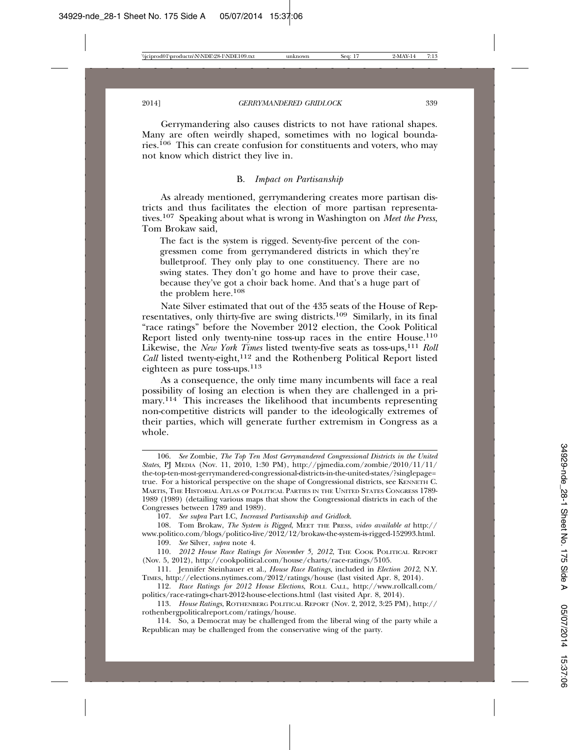Gerrymandering also causes districts to not have rational shapes. Many are often weirdly shaped, sometimes with no logical boundaries.106 This can create confusion for constituents and voters, who may not know which district they live in.

#### B. *Impact on Partisanship*

As already mentioned, gerrymandering creates more partisan districts and thus facilitates the election of more partisan representatives.107 Speaking about what is wrong in Washington on *Meet the Press*, Tom Brokaw said,

The fact is the system is rigged. Seventy-five percent of the congressmen come from gerrymandered districts in which they're bulletproof. They only play to one constituency. There are no swing states. They don't go home and have to prove their case, because they've got a choir back home. And that's a huge part of the problem here.108

Nate Silver estimated that out of the 435 seats of the House of Representatives, only thirty-five are swing districts.109 Similarly, in its final "race ratings" before the November 2012 election, the Cook Political Report listed only twenty-nine toss-up races in the entire House.<sup>110</sup> Likewise, the *New York Times* listed twenty-five seats as toss-ups,<sup>111</sup> *Roll Call* listed twenty-eight,<sup>112</sup> and the Rothenberg Political Report listed eighteen as pure toss-ups.113

As a consequence, the only time many incumbents will face a real possibility of losing an election is when they are challenged in a primary.<sup>114</sup> This increases the likelihood that incumbents representing non-competitive districts will pander to the ideologically extremes of their parties, which will generate further extremism in Congress as a whole.

107. *See supra* Part I.C, *Increased Partisanship and Gridlock*.

108. Tom Brokaw, *The System is Rigged*, MEET THE PRESS, *video available at* http:// www.politico.com/blogs/politico-live/2012/12/brokaw-the-system-is-rigged-152993.html.

109. *See* Silver, *supra* note 4.

110. *2012 House Race Ratings for November 5, 2012*, THE COOK POLITICAL REPORT (Nov. 5, 2012), http://cookpolitical.com/house/charts/race-ratings/5105.

112. *Race Ratings for 2012 House Elections*, ROLL CALL, http://www.rollcall.com/ politics/race-ratings-chart-2012-house-elections.html (last visited Apr. 8, 2014).

114. So, a Democrat may be challenged from the liberal wing of the party while a Republican may be challenged from the conservative wing of the party.

<sup>106.</sup> *See* Zombie, *The Top Ten Most Gerrymandered Congressional Districts in the United States*, PJ MEDIA (Nov. 11, 2010, 1:30 PM), http://pjmedia.com/zombie/2010/11/11/ the-top-ten-most-gerrymandered-congressional-districts-in-the-united-states/?singlepage= true. For a historical perspective on the shape of Congressional districts, see KENNETH C. MARTIS, THE HISTORIAL ATLAS OF POLITICAL PARTIES IN THE UNITED STATES CONGRESS 1789- 1989 (1989) (detailing various maps that show the Congressional districts in each of the Congresses between 1789 and 1989).

<sup>111.</sup> Jennifer Steinhauer et al., *House Race Ratings*, included in *Election 2012*, N.Y. TIMES, http://elections.nytimes.com/2012/ratings/house (last visited Apr. 8, 2014).

<sup>113.</sup> *House Ratings*, ROTHENBERG POLITICAL REPORT (Nov. 2, 2012, 3:25 PM), http:// rothenbergpoliticalreport.com/ratings/house.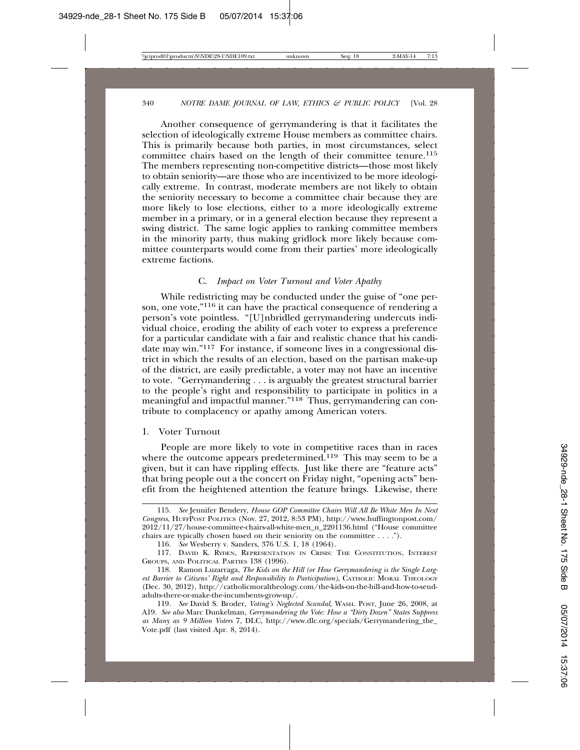Another consequence of gerrymandering is that it facilitates the selection of ideologically extreme House members as committee chairs. This is primarily because both parties, in most circumstances, select committee chairs based on the length of their committee tenure.<sup>115</sup> The members representing non-competitive districts—those most likely to obtain seniority—are those who are incentivized to be more ideologically extreme. In contrast, moderate members are not likely to obtain the seniority necessary to become a committee chair because they are more likely to lose elections, either to a more ideologically extreme member in a primary, or in a general election because they represent a swing district. The same logic applies to ranking committee members in the minority party, thus making gridlock more likely because committee counterparts would come from their parties' more ideologically extreme factions.

#### C. *Impact on Voter Turnout and Voter Apathy*

While redistricting may be conducted under the guise of "one person, one vote,"<sup>116</sup> it can have the practical consequence of rendering a person's vote pointless. "[U]nbridled gerrymandering undercuts individual choice, eroding the ability of each voter to express a preference for a particular candidate with a fair and realistic chance that his candidate may win."117 For instance, if someone lives in a congressional district in which the results of an election, based on the partisan make-up of the district, are easily predictable, a voter may not have an incentive to vote. "Gerrymandering . . . is arguably the greatest structural barrier to the people's right and responsibility to participate in politics in a meaningful and impactful manner."118 Thus, gerrymandering can contribute to complacency or apathy among American voters.

#### 1. Voter Turnout

People are more likely to vote in competitive races than in races where the outcome appears predetermined.<sup>119</sup> This may seem to be a given, but it can have rippling effects. Just like there are "feature acts" that bring people out a the concert on Friday night, "opening acts" benefit from the heightened attention the feature brings. Likewise, there

<sup>115.</sup> *See* Jennifer Bendery, *House GOP Committee Chairs Will All Be White Men In Next Congress*, HUFFPOST POLITICS (Nov. 27, 2012, 8:53 PM), http://www.huffingtonpost.com/ 2012/11/27/house-committee-chairs-all-white-men\_n\_2201136.html ("House committee chairs are typically chosen based on their seniority on the committee . . . .").

<sup>116.</sup> *See* Wesberry v. Sanders, 376 U.S. 1, 18 (1964).

<sup>117.</sup> DAVID K. RYDEN, REPRESENTATION IN CRISIS: THE CONSTITUTION, INTEREST GROUPS, AND POLITICAL PARTIES 138 (1996).

<sup>118.</sup> Ramon Luzarraga, *The Kids on the Hill (or How Gerrymandering is the Single Largest Barrier to Citizens' Right and Responsibility to Participation)*, CATHOLIC MORAL THEOLOGY (Dec. 30, 2012), http://catholicmoraltheology.com/the-kids-on-the-hill-and-how-to-sendadults-there-or-make-the-incumbents-grow-up/.

<sup>119.</sup> *See* David S. Broder, *Voting's Neglected Scandal*, WASH. POST, June 26, 2008, at A19. *See also* Marc Dunkelman, *Gerrymandering the Vote: How a "Dirty Dozen" States Suppress as Many as 9 Million Voters* 7, DLC, http://www.dlc.org/specials/Gerrymandering\_the\_ Vote.pdf (last visited Apr. 8, 2014).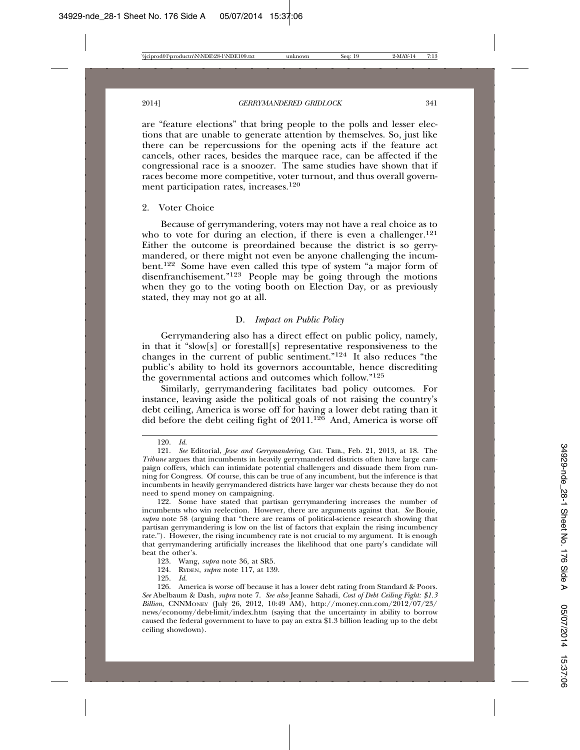are "feature elections" that bring people to the polls and lesser elections that are unable to generate attention by themselves. So, just like there can be repercussions for the opening acts if the feature act cancels, other races, besides the marquee race, can be affected if the congressional race is a snoozer. The same studies have shown that if races become more competitive, voter turnout, and thus overall government participation rates, increases.120

# 2. Voter Choice

Because of gerrymandering, voters may not have a real choice as to who to vote for during an election, if there is even a challenger.<sup>121</sup> Either the outcome is preordained because the district is so gerrymandered, or there might not even be anyone challenging the incumbent.122 Some have even called this type of system "a major form of disenfranchisement."<sup>123</sup> People may be going through the motions when they go to the voting booth on Election Day, or as previously stated, they may not go at all.

# D. *Impact on Public Policy*

Gerrymandering also has a direct effect on public policy, namely, in that it "slow[s] or forestall[s] representative responsiveness to the changes in the current of public sentiment."124 It also reduces "the public's ability to hold its governors accountable, hence discrediting the governmental actions and outcomes which follow."125

Similarly, gerrymandering facilitates bad policy outcomes. For instance, leaving aside the political goals of not raising the country's debt ceiling, America is worse off for having a lower debt rating than it did before the debt ceiling fight of 2011.126 And, America is worse off

<sup>120.</sup> *Id.*

<sup>121.</sup> *See* Editorial, *Jesse and Gerrymandering*, CHI. TRIB., Feb. 21, 2013, at 18. The *Tribune* argues that incumbents in heavily gerrymandered districts often have large campaign coffers, which can intimidate potential challengers and dissuade them from running for Congress. Of course, this can be true of any incumbent, but the inference is that incumbents in heavily gerrymandered districts have larger war chests because they do not need to spend money on campaigning.

<sup>122.</sup> Some have stated that partisan gerrymandering increases the number of incumbents who win reelection. However, there are arguments against that. *See* Bouie*, supra* note 58 (arguing that "there are reams of political-science research showing that partisan gerrymandering is low on the list of factors that explain the rising incumbency rate."). However, the rising incumbency rate is not crucial to my argument. It is enough that gerrymandering artificially increases the likelihood that one party's candidate will beat the other's.

<sup>123.</sup> Wang, *supra* note 36, at SR5.

<sup>124.</sup> RYDEN, *supra* note 117, at 139.

<sup>125.</sup> *Id.*

<sup>126.</sup> America is worse off because it has a lower debt rating from Standard & Poors. *See* Abelbaum & Dash, *supra* note 7. *See also* Jeanne Sahadi, *Cost of Debt Ceiling Fight: \$1.3 Billion*, CNNMONEY (July 26, 2012, 10:49 AM), http://money.cnn.com/2012/07/23/ news/economy/debt-limit/index.htm (saying that the uncertainty in ability to borrow caused the federal government to have to pay an extra \$1.3 billion leading up to the debt ceiling showdown).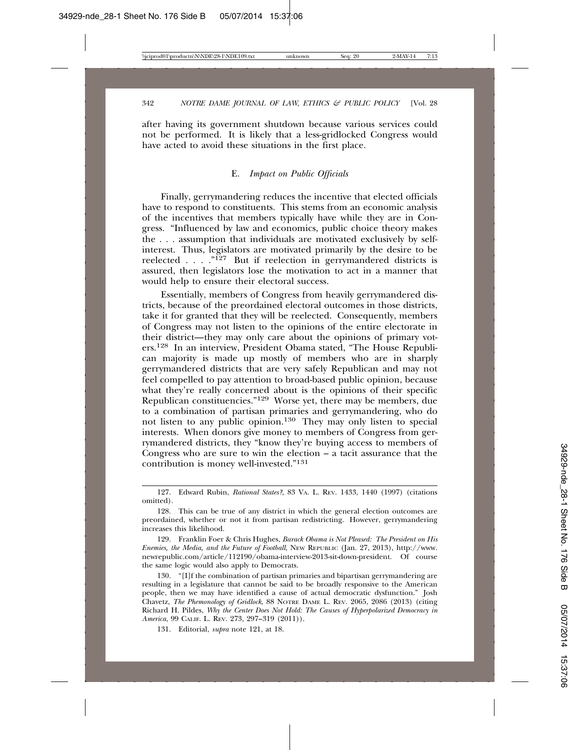after having its government shutdown because various services could not be performed. It is likely that a less-gridlocked Congress would have acted to avoid these situations in the first place.

# E. *Impact on Public Officials*

Finally, gerrymandering reduces the incentive that elected officials have to respond to constituents. This stems from an economic analysis of the incentives that members typically have while they are in Congress. "Influenced by law and economics, public choice theory makes the . . . assumption that individuals are motivated exclusively by selfinterest. Thus, legislators are motivated primarily by the desire to be reelected . . . .  $\cdot$   $\cdot$   $\cdot$   $\cdot$   $\cdot$   $\cdot$  But if reelection in gerrymandered districts is assured, then legislators lose the motivation to act in a manner that would help to ensure their electoral success.

Essentially, members of Congress from heavily gerrymandered districts, because of the preordained electoral outcomes in those districts, take it for granted that they will be reelected. Consequently, members of Congress may not listen to the opinions of the entire electorate in their district—they may only care about the opinions of primary voters.128 In an interview, President Obama stated, "The House Republican majority is made up mostly of members who are in sharply gerrymandered districts that are very safely Republican and may not feel compelled to pay attention to broad-based public opinion, because what they're really concerned about is the opinions of their specific Republican constituencies."129 Worse yet, there may be members, due to a combination of partisan primaries and gerrymandering, who do not listen to any public opinion.130 They may only listen to special interests. When donors give money to members of Congress from gerrymandered districts, they "know they're buying access to members of Congress who are sure to win the election  $-$  a tacit assurance that the contribution is money well-invested."131

129. Franklin Foer & Chris Hughes, *Barack Obama is Not Pleased: The President on His Enemies, the Media, and the Future of Football*, NEW REPUBLIC (Jan. 27, 2013), http://www. newrepublic.com/article/112190/obama-interview-2013-sit-down-president. Of course the same logic would also apply to Democrats.

130. "[I]f the combination of partisan primaries and bipartisan gerrymandering are resulting in a legislature that cannot be said to be broadly responsive to the American people, then we may have identified a cause of actual democratic dysfunction." Josh Chavetz, *The Phemonology of Gridlock*, 88 NOTRE DAME L. REV. 2065, 2086 (2013) (citing Richard H. Pildes, *Why the Center Does Not Hold: The Causes of Hyperpolarized Democracy in America*, 99 CALIF. L. REV. 273, 297–319 (2011)).

131. Editorial, *supra* note 121, at 18.

<sup>127.</sup> Edward Rubin, *Rational States?*, 83 VA. L. REV. 1433, 1440 (1997) (citations omitted).

<sup>128.</sup> This can be true of any district in which the general election outcomes are preordained, whether or not it from partisan redistricting. However, gerrymandering increases this likelihood.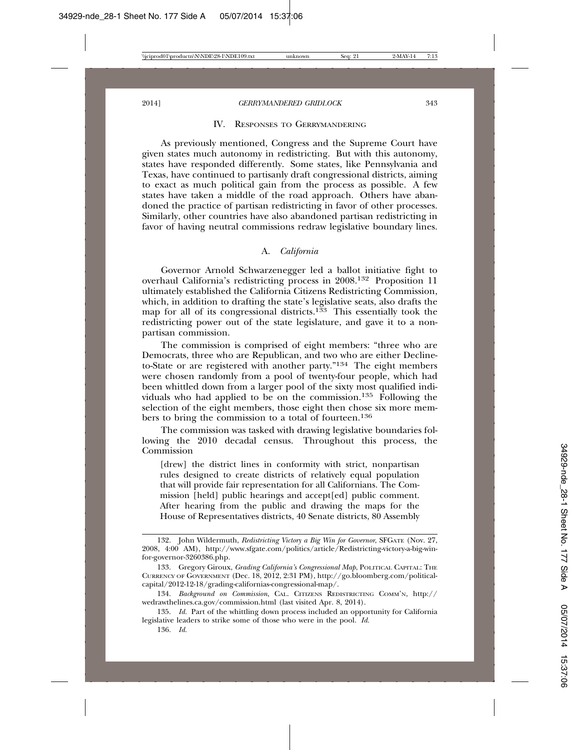#### IV. RESPONSES TO GERRYMANDERING

As previously mentioned, Congress and the Supreme Court have given states much autonomy in redistricting. But with this autonomy, states have responded differently. Some states, like Pennsylvania and Texas, have continued to partisanly draft congressional districts, aiming to exact as much political gain from the process as possible. A few states have taken a middle of the road approach. Others have abandoned the practice of partisan redistricting in favor of other processes. Similarly, other countries have also abandoned partisan redistricting in favor of having neutral commissions redraw legislative boundary lines.

# A. *California*

Governor Arnold Schwarzenegger led a ballot initiative fight to overhaul California's redistricting process in 2008.132 Proposition 11 ultimately established the California Citizens Redistricting Commission, which, in addition to drafting the state's legislative seats, also drafts the map for all of its congressional districts.<sup>133</sup> This essentially took the redistricting power out of the state legislature, and gave it to a nonpartisan commission.

The commission is comprised of eight members: "three who are Democrats, three who are Republican, and two who are either Declineto-State or are registered with another party."134 The eight members were chosen randomly from a pool of twenty-four people, which had been whittled down from a larger pool of the sixty most qualified individuals who had applied to be on the commission.<sup>135</sup> Following the selection of the eight members, those eight then chose six more members to bring the commission to a total of fourteen.<sup>136</sup>

The commission was tasked with drawing legislative boundaries following the 2010 decadal census. Throughout this process, the Commission

[drew] the district lines in conformity with strict, nonpartisan rules designed to create districts of relatively equal population that will provide fair representation for all Californians. The Commission [held] public hearings and accept[ed] public comment. After hearing from the public and drawing the maps for the House of Representatives districts, 40 Senate districts, 80 Assembly

<sup>132.</sup> John Wildermuth, *Redistricting Victory a Big Win for Governor*, SFGATE (Nov. 27, 2008, 4:00 AM), http://www.sfgate.com/politics/article/Redistricting-victory-a-big-winfor-governor-3260386.php.

<sup>133.</sup> Gregory Giroux, *Grading California's Congressional Map*, POLITICAL CAPITAL: THE CURRENCY OF GOVERNMENT (Dec. 18, 2012, 2:31 PM), http://go.bloomberg.com/politicalcapital/2012-12-18/grading-californias-congressional-map/.

<sup>134.</sup> *Background on Commission*, CAL. CITIZENS REDISTRICTING COMM'N, http:// wedrawthelines.ca.gov/commission.html (last visited Apr. 8, 2014).

<sup>135.</sup> *Id.* Part of the whittling down process included an opportunity for California legislative leaders to strike some of those who were in the pool. *Id.*

<sup>136.</sup> *Id.*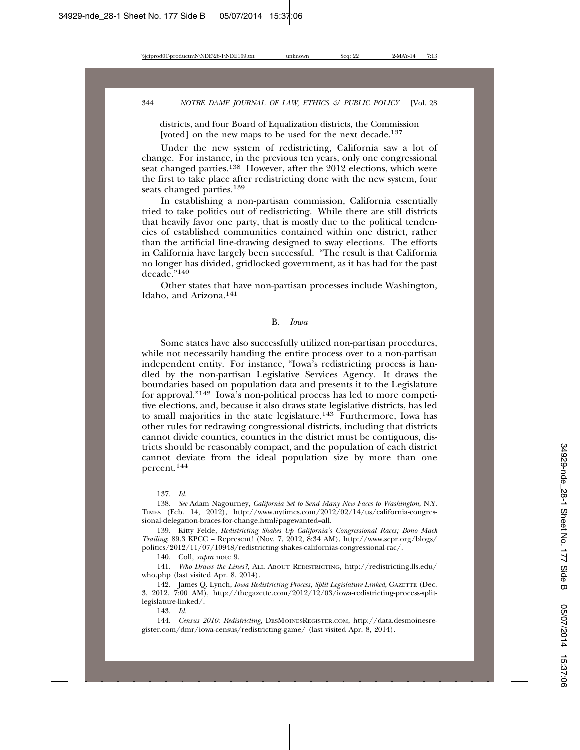districts, and four Board of Equalization districts, the Commission [voted] on the new maps to be used for the next decade.<sup>137</sup>

Under the new system of redistricting, California saw a lot of change. For instance, in the previous ten years, only one congressional seat changed parties.<sup>138</sup> However, after the 2012 elections, which were the first to take place after redistricting done with the new system, four seats changed parties.<sup>139</sup>

In establishing a non-partisan commission, California essentially tried to take politics out of redistricting. While there are still districts that heavily favor one party, that is mostly due to the political tendencies of established communities contained within one district, rather than the artificial line-drawing designed to sway elections. The efforts in California have largely been successful. "The result is that California no longer has divided, gridlocked government, as it has had for the past decade."<sup>140</sup>

Other states that have non-partisan processes include Washington, Idaho, and Arizona.141

#### B. *Iowa*

Some states have also successfully utilized non-partisan procedures, while not necessarily handing the entire process over to a non-partisan independent entity. For instance, "Iowa's redistricting process is handled by the non-partisan Legislative Services Agency. It draws the boundaries based on population data and presents it to the Legislature for approval."142 Iowa's non-political process has led to more competitive elections, and, because it also draws state legislative districts, has led to small majorities in the state legislature.<sup>143</sup> Furthermore, Iowa has other rules for redrawing congressional districts, including that districts cannot divide counties, counties in the district must be contiguous, districts should be reasonably compact, and the population of each district cannot deviate from the ideal population size by more than one percent.<sup>144</sup>

<sup>137.</sup> *Id.*

<sup>138.</sup> *See* Adam Nagourney, *California Set to Send Many New Faces to Washington*, N.Y. TIMES (Feb. 14, 2012), http://www.nytimes.com/2012/02/14/us/california-congressional-delegation-braces-for-change.html?pagewanted=all.

<sup>139.</sup> Kitty Felde, *Redistricting Shakes Up California's Congressional Races; Bono Mack Trailing*, 89.3 KPCC – Represent! (Nov. 7, 2012, 8:34 AM), http://www.scpr.org/blogs/ politics/2012/11/07/10948/redistricting-shakes-californias-congressional-rac/.

<sup>140.</sup> Coll, *supra* note 9.

<sup>141.</sup> *Who Draws the Lines?*, ALL ABOUT REDISTRICTING, http://redistricting.lls.edu/ who.php (last visited Apr. 8, 2014).

<sup>142.</sup> James Q. Lynch, *Iowa Redistricting Process, Split Legislature Linked*, GAZETTE (Dec. 3, 2012, 7:00 AM), http://thegazette.com/2012/12/03/iowa-redistricting-process-splitlegislature-linked/.

<sup>143.</sup> *Id.*

<sup>144.</sup> *Census 2010: Redistricting*, DESMOINESREGISTER.COM, http://data.desmoinesregister.com/dmr/iowa-census/redistricting-game/ (last visited Apr. 8, 2014).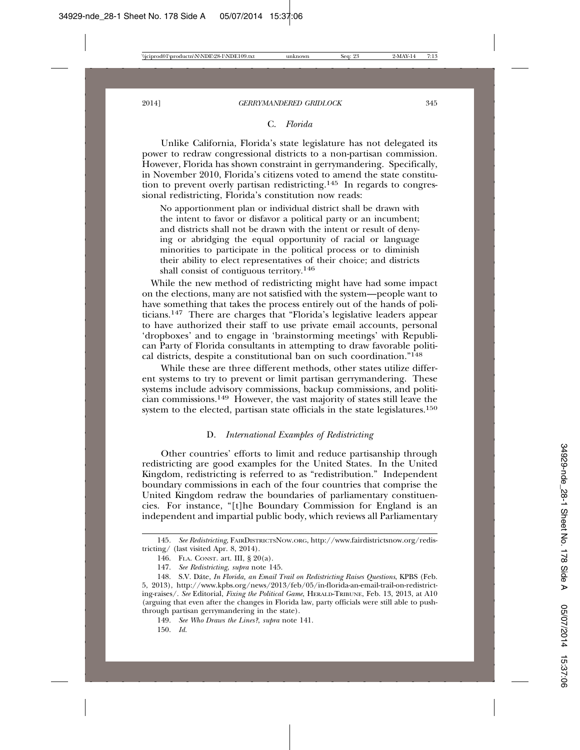#### C. *Florida*

Unlike California, Florida's state legislature has not delegated its power to redraw congressional districts to a non-partisan commission. However, Florida has shown constraint in gerrymandering. Specifically, in November 2010, Florida's citizens voted to amend the state constitution to prevent overly partisan redistricting.145 In regards to congressional redistricting, Florida's constitution now reads:

No apportionment plan or individual district shall be drawn with the intent to favor or disfavor a political party or an incumbent; and districts shall not be drawn with the intent or result of denying or abridging the equal opportunity of racial or language minorities to participate in the political process or to diminish their ability to elect representatives of their choice; and districts shall consist of contiguous territory.146

 While the new method of redistricting might have had some impact on the elections, many are not satisfied with the system—people want to have something that takes the process entirely out of the hands of politicians.147 There are charges that "Florida's legislative leaders appear to have authorized their staff to use private email accounts, personal 'dropboxes' and to engage in 'brainstorming meetings' with Republican Party of Florida consultants in attempting to draw favorable political districts, despite a constitutional ban on such coordination." $148$ 

While these are three different methods, other states utilize different systems to try to prevent or limit partisan gerrymandering. These systems include advisory commissions, backup commissions, and politician commissions.149 However, the vast majority of states still leave the system to the elected, partisan state officials in the state legislatures.<sup>150</sup>

# D. *International Examples of Redistricting*

Other countries' efforts to limit and reduce partisanship through redistricting are good examples for the United States. In the United Kingdom, redistricting is referred to as "redistribution." Independent boundary commissions in each of the four countries that comprise the United Kingdom redraw the boundaries of parliamentary constituencies. For instance, "[t]he Boundary Commission for England is an independent and impartial public body, which reviews all Parliamentary

<sup>145.</sup> *See Redistricting*, FAIRDISTRICTSNOW.ORG, http://www.fairdistrictsnow.org/redistricting/ (last visited Apr. 8, 2014).

<sup>146.</sup> FLA. CONST. art. III, § 20(a).

<sup>147.</sup> *See Redistricting*, *supra* note 145.

<sup>148.</sup> S.V. Dáte, *In Florida, an Email Trail on Redistricting Raises Ouestions*, KPBS (Feb. 5, 2013), http://www.kpbs.org/news/2013/feb/05/in-florida-an-email-trail-on-redistricting-raises/. *See* Editorial, *Fixing the Political Game*, HERALD-TRIBUNE, Feb. 13, 2013, at A10 (arguing that even after the changes in Florida law, party officials were still able to pushthrough partisan gerrymandering in the state).

<sup>149.</sup> *See Who Draws the Lines?*, *supra* note 141.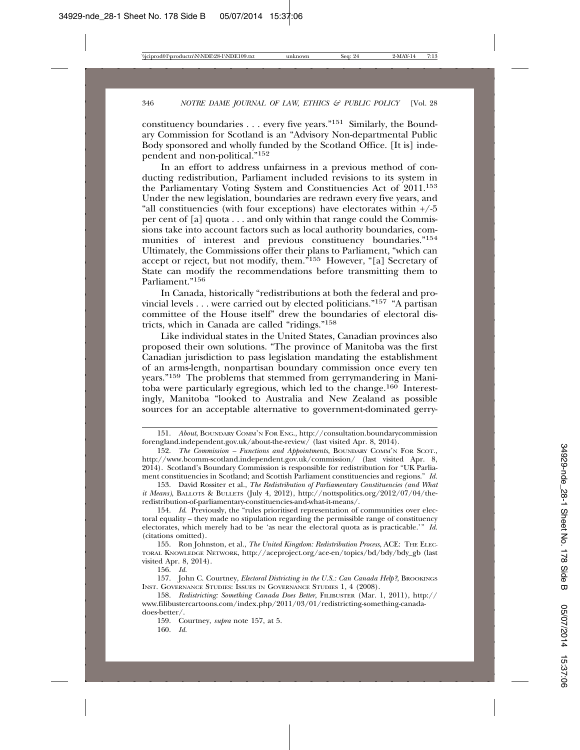constituency boundaries . . . every five years."151 Similarly, the Boundary Commission for Scotland is an "Advisory Non-departmental Public Body sponsored and wholly funded by the Scotland Office. [It is] independent and non-political."152

In an effort to address unfairness in a previous method of conducting redistribution, Parliament included revisions to its system in the Parliamentary Voting System and Constituencies Act of 2011.153 Under the new legislation, boundaries are redrawn every five years, and "all constituencies (with four exceptions) have electorates within  $+/-5$ per cent of [a] quota . . . and only within that range could the Commissions take into account factors such as local authority boundaries, communities of interest and previous constituency boundaries."<sup>154</sup> Ultimately, the Commissions offer their plans to Parliament, "which can accept or reject, but not modify, them."155 However, "[a] Secretary of State can modify the recommendations before transmitting them to Parliament."<sup>156</sup>

In Canada, historically "redistributions at both the federal and provincial levels  $\dots$  were carried out by elected politicians."<sup>157</sup> "A partisan committee of the House itself" drew the boundaries of electoral districts, which in Canada are called "ridings."158

Like individual states in the United States, Canadian provinces also proposed their own solutions. "The province of Manitoba was the first Canadian jurisdiction to pass legislation mandating the establishment of an arms-length, nonpartisan boundary commission once every ten years."159 The problems that stemmed from gerrymandering in Manitoba were particularly egregious, which led to the change.<sup>160</sup> Interestingly, Manitoba "looked to Australia and New Zealand as possible sources for an acceptable alternative to government-dominated gerry-

155. Ron Johnston, et al., *The United Kingdom: Redistribution Process*, ACE: THE ELEC-TORAL KNOWLEDGE NETWORK, http://aceproject.org/ace-en/topics/bd/bdy/bdy\_gb (last visited Apr. 8, 2014).

156. *Id.*

160. *Id.*

<sup>151.</sup> *About*, BOUNDARY COMM'N FOR ENG., http://consultation.boundarycommission forengland.independent.gov.uk/about-the-review/ (last visited Apr. 8, 2014).

<sup>152.</sup> *The Commission – Functions and Appointments*, BOUNDARY COMM'N FOR SCOT., http://www.bcomm-scotland.independent.gov.uk/commission/ (last visited Apr. 8, 2014). Scotland's Boundary Commission is responsible for redistribution for "UK Parliament constituencies in Scotland; and Scottish Parliament constituencies and regions." *Id.*

<sup>153.</sup> David Rossiter et al., *The Redistribution of Parliamentary Constituencies (and What it Means)*, BALLOTS & BULLETS (July 4, 2012), http://nottspolitics.org/2012/07/04/theredistribution-of-parliamentary-constituencies-and-what-it-means/.

<sup>154.</sup> *Id*. Previously, the "rules prioritised representation of communities over electoral equality – they made no stipulation regarding the permissible range of constituency electorates, which merely had to be 'as near the electoral quota as is practicable.'" *Id*. (citations omitted).

<sup>157.</sup> John C. Courtney, *Electoral Districting in the U.S.: Can Canada Help?*, BROOKINGS INST. GOVERNANCE STUDIES: ISSUES IN GOVERNANCE STUDIES 1, 4 (2008).

<sup>158.</sup> *Redistricting: Something Canada Does Better*, FILIBUSTER (Mar. 1, 2011), http:// www.filibustercartoons.com/index.php/2011/03/01/redistricting-something-canadadoes-better/.

<sup>159.</sup> Courtney, *supra* note 157, at 5.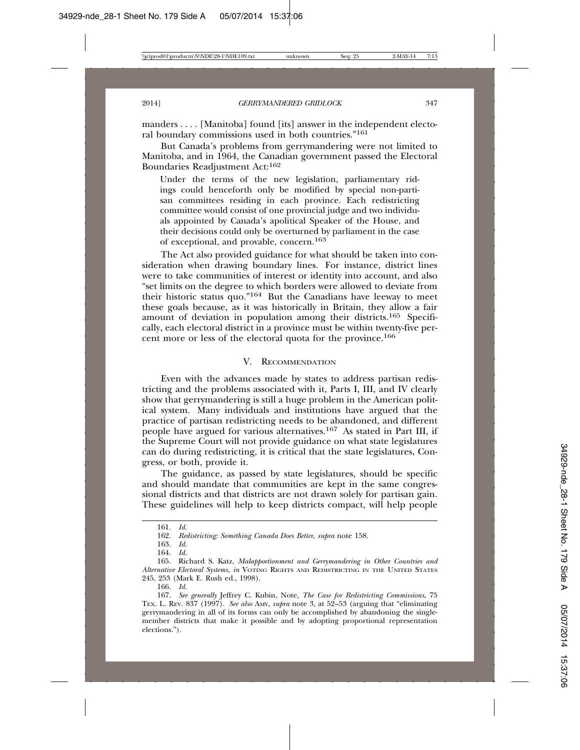manders . . . . [Manitoba] found [its] answer in the independent electoral boundary commissions used in both countries."161

But Canada's problems from gerrymandering were not limited to Manitoba, and in 1964, the Canadian government passed the Electoral Boundaries Readjustment Act:162

Under the terms of the new legislation, parliamentary ridings could henceforth only be modified by special non-partisan committees residing in each province. Each redistricting committee would consist of one provincial judge and two individuals appointed by Canada's apolitical Speaker of the House, and their decisions could only be overturned by parliament in the case of exceptional, and provable, concern.163

The Act also provided guidance for what should be taken into consideration when drawing boundary lines. For instance, district lines were to take communities of interest or identity into account, and also "set limits on the degree to which borders were allowed to deviate from their historic status quo."164 But the Canadians have leeway to meet these goals because, as it was historically in Britain, they allow a fair amount of deviation in population among their districts.165 Specifically, each electoral district in a province must be within twenty-five percent more or less of the electoral quota for the province.166

# V. RECOMMENDATION

Even with the advances made by states to address partisan redistricting and the problems associated with it, Parts I, III, and IV clearly show that gerrymandering is still a huge problem in the American political system. Many individuals and institutions have argued that the practice of partisan redistricting needs to be abandoned, and different people have argued for various alternatives.167 As stated in Part III, if the Supreme Court will not provide guidance on what state legislatures can do during redistricting, it is critical that the state legislatures, Congress, or both, provide it.

The guidance, as passed by state legislatures, should be specific and should mandate that communities are kept in the same congressional districts and that districts are not drawn solely for partisan gain. These guidelines will help to keep districts compact, will help people

<sup>161.</sup> *Id.*

<sup>162.</sup> *Redistricting: Something Canada Does Better*, *supra* note 158.

<sup>163.</sup> *Id.*

<sup>164.</sup> *Id.*

<sup>165.</sup> Richard S. Katz, *Malapportionment and Gerrymandering in Other Countries and Alternative Electoral Systems*, *in* VOTING RIGHTS AND REDISTRICTING IN THE UNITED STATES 245, 253 (Mark E. Rush ed., 1998).

<sup>166.</sup> *Id.*

<sup>167.</sup> *See generally* Jeffrey C. Kubin, Note, *The Case for Redistricting Commissions*, 75 TEX. L. REV. 837 (1997). *See also* AMY, *supra* note 3, at 52–53 (arguing that "eliminating gerrymandering in all of its forms can only be accomplished by abandoning the singlemember districts that make it possible and by adopting proportional representation elections.").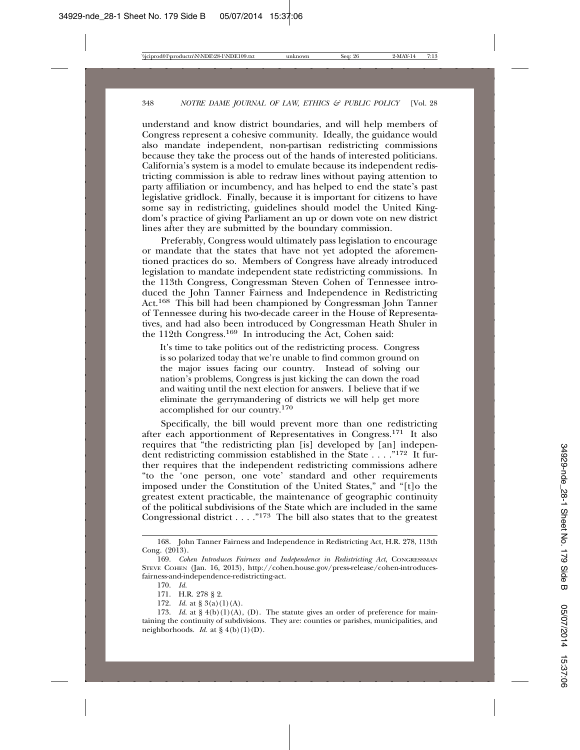understand and know district boundaries, and will help members of Congress represent a cohesive community. Ideally, the guidance would also mandate independent, non-partisan redistricting commissions because they take the process out of the hands of interested politicians. California's system is a model to emulate because its independent redistricting commission is able to redraw lines without paying attention to party affiliation or incumbency, and has helped to end the state's past legislative gridlock. Finally, because it is important for citizens to have some say in redistricting, guidelines should model the United Kingdom's practice of giving Parliament an up or down vote on new district lines after they are submitted by the boundary commission.

Preferably, Congress would ultimately pass legislation to encourage or mandate that the states that have not yet adopted the aforementioned practices do so. Members of Congress have already introduced legislation to mandate independent state redistricting commissions. In the 113th Congress, Congressman Steven Cohen of Tennessee introduced the John Tanner Fairness and Independence in Redistricting Act.168 This bill had been championed by Congressman John Tanner of Tennessee during his two-decade career in the House of Representatives, and had also been introduced by Congressman Heath Shuler in the 112th Congress.169 In introducing the Act, Cohen said:

It's time to take politics out of the redistricting process. Congress is so polarized today that we're unable to find common ground on the major issues facing our country. Instead of solving our nation's problems, Congress is just kicking the can down the road and waiting until the next election for answers. I believe that if we eliminate the gerrymandering of districts we will help get more accomplished for our country.170

Specifically, the bill would prevent more than one redistricting after each apportionment of Representatives in Congress.171 It also requires that "the redistricting plan [is] developed by [an] independent redistricting commission established in the State . . . . "<sup>172</sup> It further requires that the independent redistricting commissions adhere "to the 'one person, one vote' standard and other requirements imposed under the Constitution of the United States," and "[t]o the greatest extent practicable, the maintenance of geographic continuity of the political subdivisions of the State which are included in the same Congressional district . . . . "<sup>173</sup> The bill also states that to the greatest

172. *Id.* at § 3(a)(1)(A).

173. *Id.* at  $\S 4(b)(1)(A)$ , (D). The statute gives an order of preference for maintaining the continuity of subdivisions. They are: counties or parishes, municipalities, and neighborhoods. *Id.* at  $\S 4(b)(1)(D)$ .

<sup>168.</sup> John Tanner Fairness and Independence in Redistricting Act, H.R. 278, 113th Cong. (2013).

<sup>169.</sup> *Cohen Introduces Fairness and Independence in Redistricting Act*, CONGRESSMAN STEVE COHEN (Jan. 16, 2013), http://cohen.house.gov/press-release/cohen-introducesfairness-and-independence-redistricting-act.

<sup>170.</sup> *Id.*

<sup>171.</sup> H.R. 278 § 2.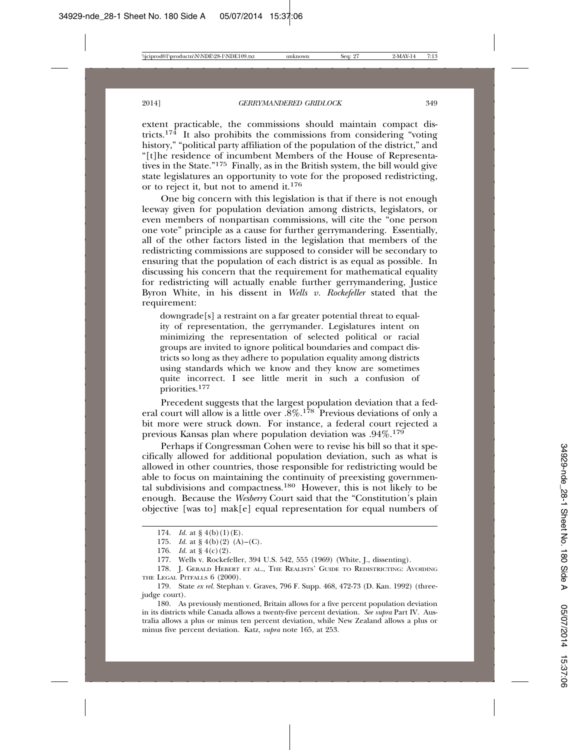extent practicable, the commissions should maintain compact districts.<sup>174</sup> It also prohibits the commissions from considering "voting" history," "political party affiliation of the population of the district," and "[t]he residence of incumbent Members of the House of Representatives in the State."175 Finally, as in the British system, the bill would give state legislatures an opportunity to vote for the proposed redistricting, or to reject it, but not to amend it.176

One big concern with this legislation is that if there is not enough leeway given for population deviation among districts, legislators, or even members of nonpartisan commissions, will cite the "one person one vote" principle as a cause for further gerrymandering. Essentially, all of the other factors listed in the legislation that members of the redistricting commissions are supposed to consider will be secondary to ensuring that the population of each district is as equal as possible. In discussing his concern that the requirement for mathematical equality for redistricting will actually enable further gerrymandering, Justice Byron White, in his dissent in *Wells v. Rockefeller* stated that the requirement:

downgrade[s] a restraint on a far greater potential threat to equality of representation, the gerrymander. Legislatures intent on minimizing the representation of selected political or racial groups are invited to ignore political boundaries and compact districts so long as they adhere to population equality among districts using standards which we know and they know are sometimes quite incorrect. I see little merit in such a confusion of priorities.<sup>177</sup>

Precedent suggests that the largest population deviation that a federal court will allow is a little over  $.8\%$ .<sup>178</sup> Previous deviations of only a bit more were struck down. For instance, a federal court rejected a previous Kansas plan where population deviation was  $.94\%$ .<sup>179</sup>

Perhaps if Congressman Cohen were to revise his bill so that it specifically allowed for additional population deviation, such as what is allowed in other countries, those responsible for redistricting would be able to focus on maintaining the continuity of preexisting governmental subdivisions and compactness.180 However, this is not likely to be enough. Because the *Wesberry* Court said that the "Constitution's plain objective [was to] mak[e] equal representation for equal numbers of

180. As previously mentioned, Britain allows for a five percent population deviation in its districts while Canada allows a twenty-five percent deviation. *See supra* Part IV. Australia allows a plus or minus ten percent deviation, while New Zealand allows a plus or minus five percent deviation. Katz, *supra* note 165, at 253.

<sup>174.</sup> *Id.* at § 4(b)(1)(E).

<sup>175.</sup> *Id.* at  $\S 4(b)(2)$  (A)–(C).

<sup>176.</sup> *Id.* at § 4(c)(2).

<sup>177.</sup> Wells v. Rockefeller, 394 U.S. 542, 555 (1969) (White, J., dissenting).

<sup>178.</sup> J. GERALD HEBERT ET AL., THE REALISTS' GUIDE TO REDISTRICTING: AVOIDING THE LEGAL PITFALLS  $6$  (2000).

<sup>179.</sup> State *ex rel.* Stephan v. Graves, 796 F. Supp. 468, 472-73 (D. Kan. 1992) (threejudge court).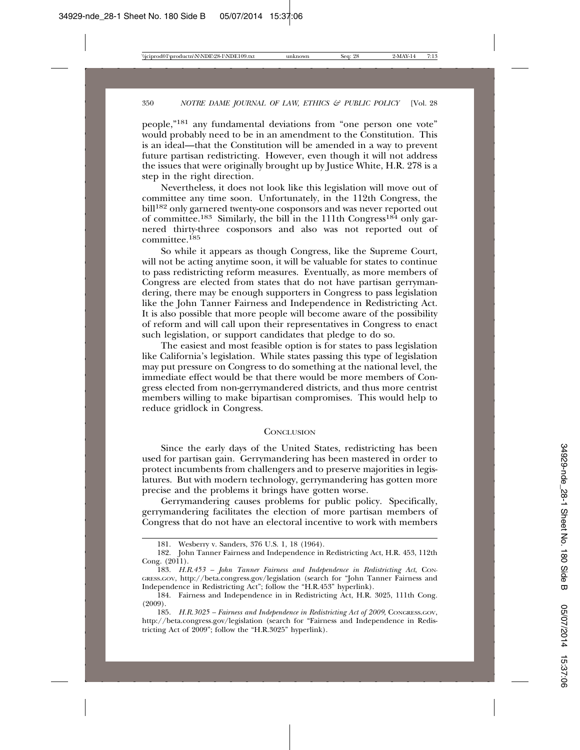people,"181 any fundamental deviations from "one person one vote" would probably need to be in an amendment to the Constitution. This is an ideal—that the Constitution will be amended in a way to prevent future partisan redistricting. However, even though it will not address the issues that were originally brought up by Justice White, H.R. 278 is a step in the right direction.

Nevertheless, it does not look like this legislation will move out of committee any time soon. Unfortunately, in the 112th Congress, the bill<sup>182</sup> only garnered twenty-one cosponsors and was never reported out of committee.<sup>183</sup> Similarly, the bill in the 111th Congress<sup>184</sup> only garnered thirty-three cosponsors and also was not reported out of committee.<sup>185</sup>

So while it appears as though Congress, like the Supreme Court, will not be acting anytime soon, it will be valuable for states to continue to pass redistricting reform measures. Eventually, as more members of Congress are elected from states that do not have partisan gerrymandering, there may be enough supporters in Congress to pass legislation like the John Tanner Fairness and Independence in Redistricting Act. It is also possible that more people will become aware of the possibility of reform and will call upon their representatives in Congress to enact such legislation, or support candidates that pledge to do so.

The easiest and most feasible option is for states to pass legislation like California's legislation. While states passing this type of legislation may put pressure on Congress to do something at the national level, the immediate effect would be that there would be more members of Congress elected from non-gerrymandered districts, and thus more centrist members willing to make bipartisan compromises. This would help to reduce gridlock in Congress.

#### **CONCLUSION**

Since the early days of the United States, redistricting has been used for partisan gain. Gerrymandering has been mastered in order to protect incumbents from challengers and to preserve majorities in legislatures. But with modern technology, gerrymandering has gotten more precise and the problems it brings have gotten worse.

Gerrymandering causes problems for public policy. Specifically, gerrymandering facilitates the election of more partisan members of Congress that do not have an electoral incentive to work with members

<sup>181.</sup> Wesberry v. Sanders, 376 U.S. 1, 18 (1964).

<sup>182.</sup> John Tanner Fairness and Independence in Redistricting Act, H.R. 453, 112th Cong. (2011).

<sup>183.</sup> *H.R.453 – John Tanner Fairness and Independence in Redistricting Act*, CON-GRESS.GOV, http://beta.congress.gov/legislation (search for "John Tanner Fairness and Independence in Redistricting Act"; follow the "H.R.453" hyperlink).

<sup>184.</sup> Fairness and Independence in in Redistricting Act, H.R. 3025, 111th Cong. (2009).

<sup>185.</sup> *H.R.3025 – Fairness and Independence in Redistricting Act of 2009*, CONGRESS.GOV, http://beta.congress.gov/legislation (search for "Fairness and Independence in Redistricting Act of 2009"; follow the "H.R.3025" hyperlink).